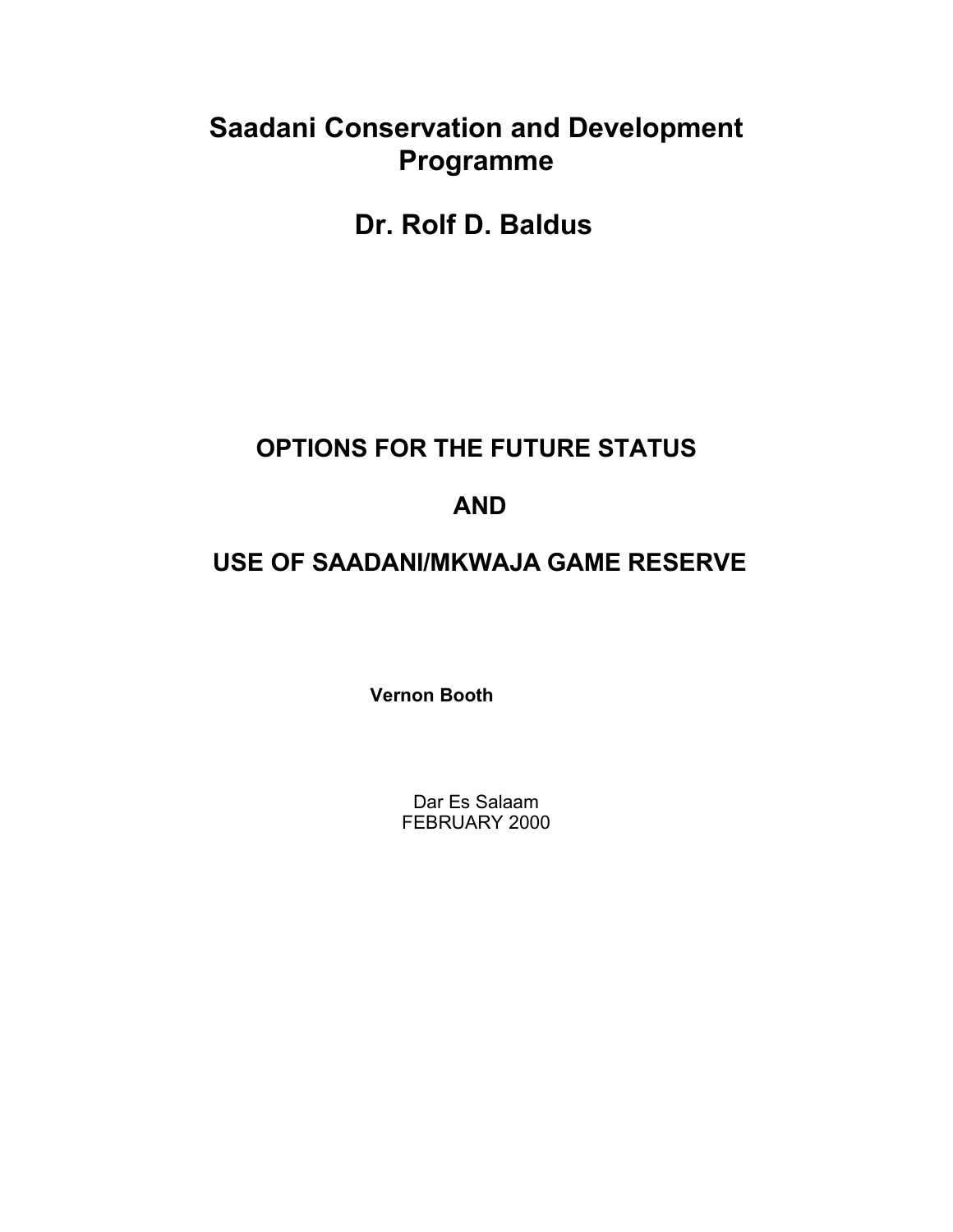# **Saadani Conservation and Development Programme**

**Dr. Rolf D. Baldus**

# **OPTIONS FOR THE FUTURE STATUS**

# **AND**

# **USE OF SAADANI/MKWAJA GAME RESERVE**

 **Vernon Booth**

Dar Es Salaam FEBRUARY 2000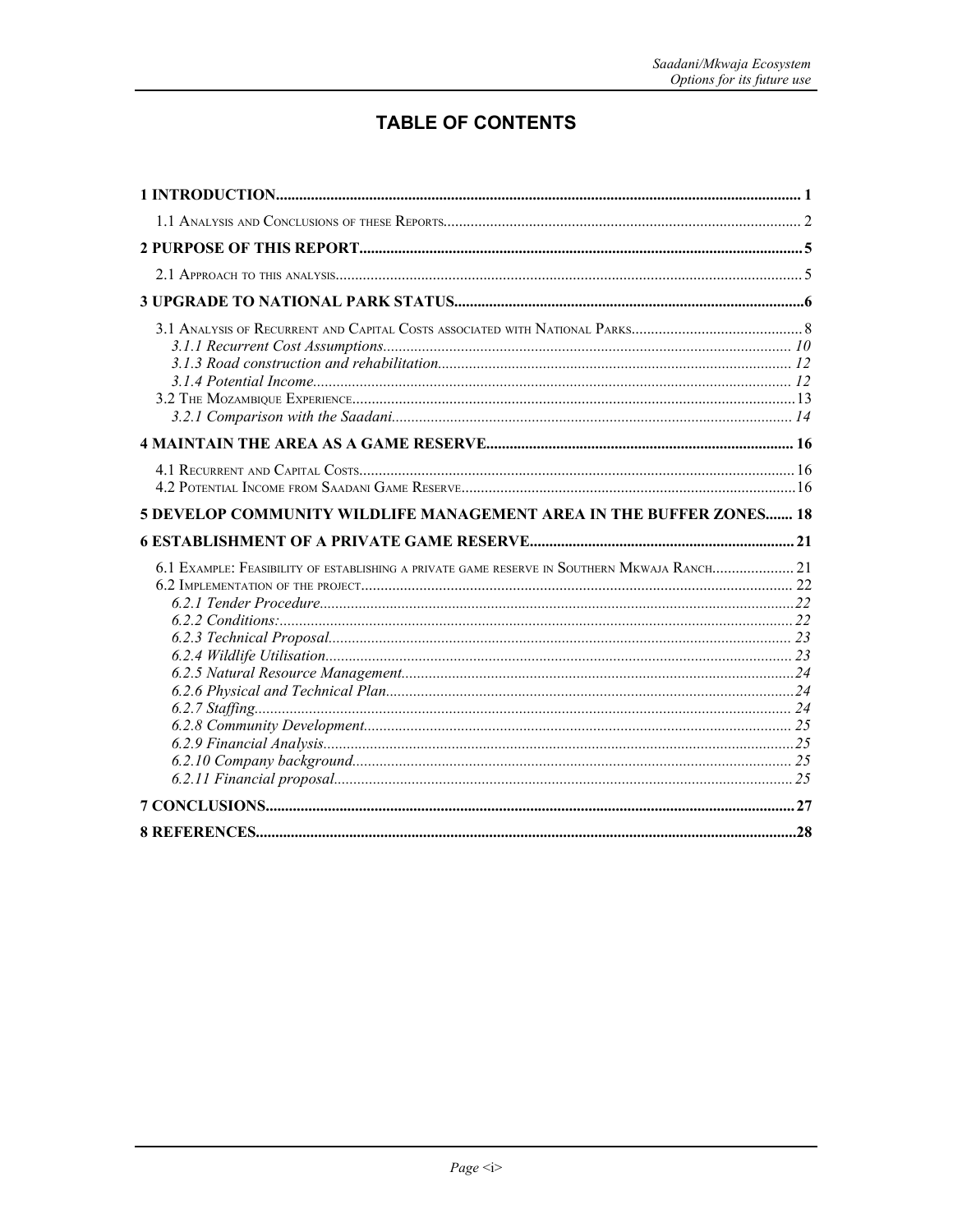# **TABLE OF CONTENTS**

| 5 DEVELOP COMMUNITY WILDLIFE MANAGEMENT AREA IN THE BUFFER ZONES 18                         |  |
|---------------------------------------------------------------------------------------------|--|
|                                                                                             |  |
| 6.1 EXAMPLE: FEASIBILITY OF ESTABLISHING A PRIVATE GAME RESERVE IN SOUTHERN MKWAJA RANCH 21 |  |
|                                                                                             |  |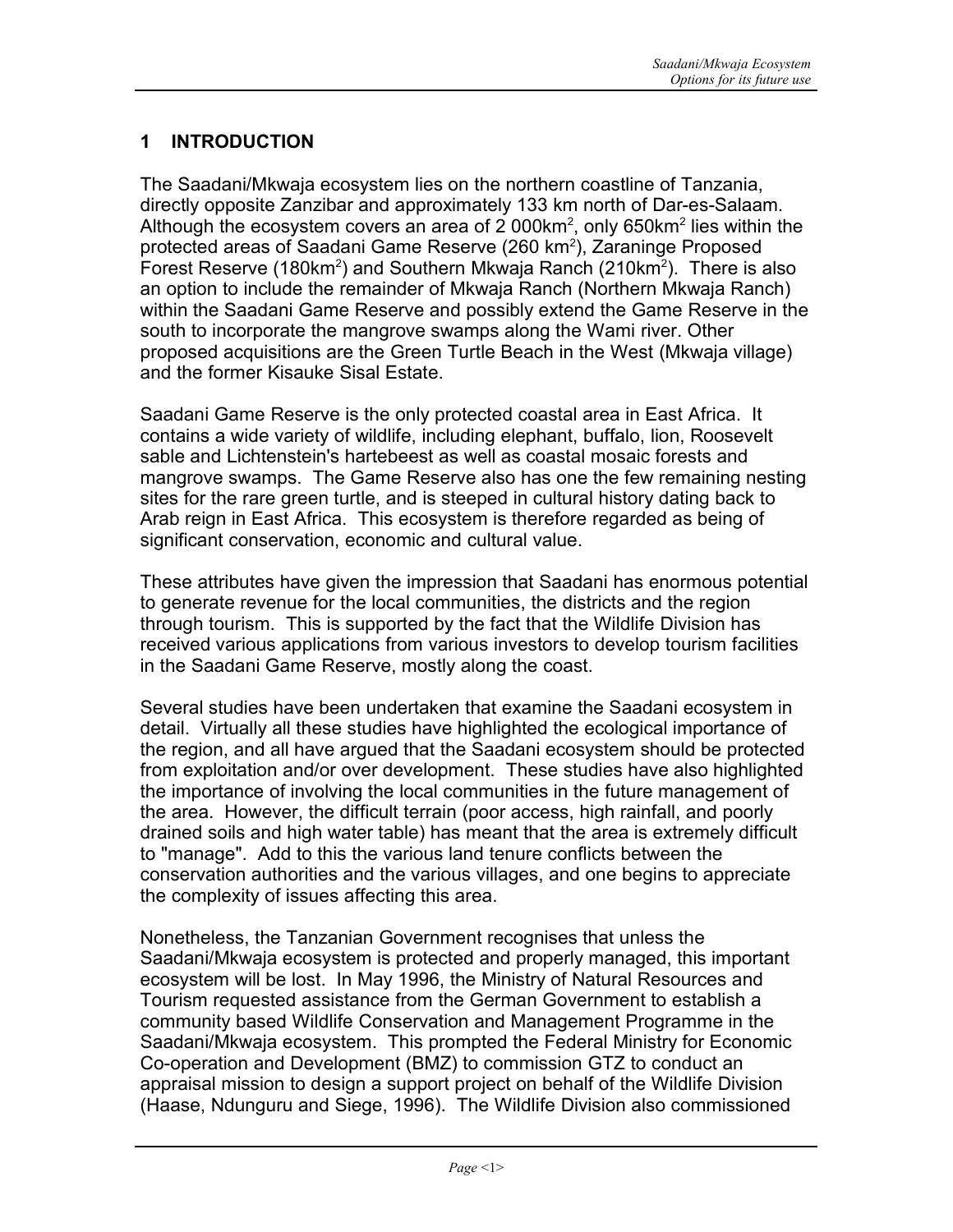# **1 INTRODUCTION**

The Saadani/Mkwaja ecosystem lies on the northern coastline of Tanzania, directly opposite Zanzibar and approximately 133 km north of Dar-es-Salaam. Although the ecosystem covers an area of 2 000km<sup>2</sup>, only 650km<sup>2</sup> lies within the protected areas of Saadani Game Reserve (260 km<sup>2</sup>), Zaraninge Proposed Forest Reserve (180km<sup>2</sup>) and Southern Mkwaja Ranch (210km<sup>2</sup>). There is also an option to include the remainder of Mkwaja Ranch (Northern Mkwaja Ranch) within the Saadani Game Reserve and possibly extend the Game Reserve in the south to incorporate the mangrove swamps along the Wami river. Other proposed acquisitions are the Green Turtle Beach in the West (Mkwaja village) and the former Kisauke Sisal Estate.

Saadani Game Reserve is the only protected coastal area in East Africa. It contains a wide variety of wildlife, including elephant, buffalo, lion, Roosevelt sable and Lichtenstein's hartebeest as well as coastal mosaic forests and mangrove swamps. The Game Reserve also has one the few remaining nesting sites for the rare green turtle, and is steeped in cultural history dating back to Arab reign in East Africa. This ecosystem is therefore regarded as being of significant conservation, economic and cultural value.

These attributes have given the impression that Saadani has enormous potential to generate revenue for the local communities, the districts and the region through tourism. This is supported by the fact that the Wildlife Division has received various applications from various investors to develop tourism facilities in the Saadani Game Reserve, mostly along the coast.

Several studies have been undertaken that examine the Saadani ecosystem in detail. Virtually all these studies have highlighted the ecological importance of the region, and all have argued that the Saadani ecosystem should be protected from exploitation and/or over development. These studies have also highlighted the importance of involving the local communities in the future management of the area. However, the difficult terrain (poor access, high rainfall, and poorly drained soils and high water table) has meant that the area is extremely difficult to "manage". Add to this the various land tenure conflicts between the conservation authorities and the various villages, and one begins to appreciate the complexity of issues affecting this area.

Nonetheless, the Tanzanian Government recognises that unless the Saadani/Mkwaja ecosystem is protected and properly managed, this important ecosystem will be lost. In May 1996, the Ministry of Natural Resources and Tourism requested assistance from the German Government to establish a community based Wildlife Conservation and Management Programme in the Saadani/Mkwaja ecosystem. This prompted the Federal Ministry for Economic Co-operation and Development (BMZ) to commission GTZ to conduct an appraisal mission to design a support project on behalf of the Wildlife Division (Haase, Ndunguru and Siege, 1996). The Wildlife Division also commissioned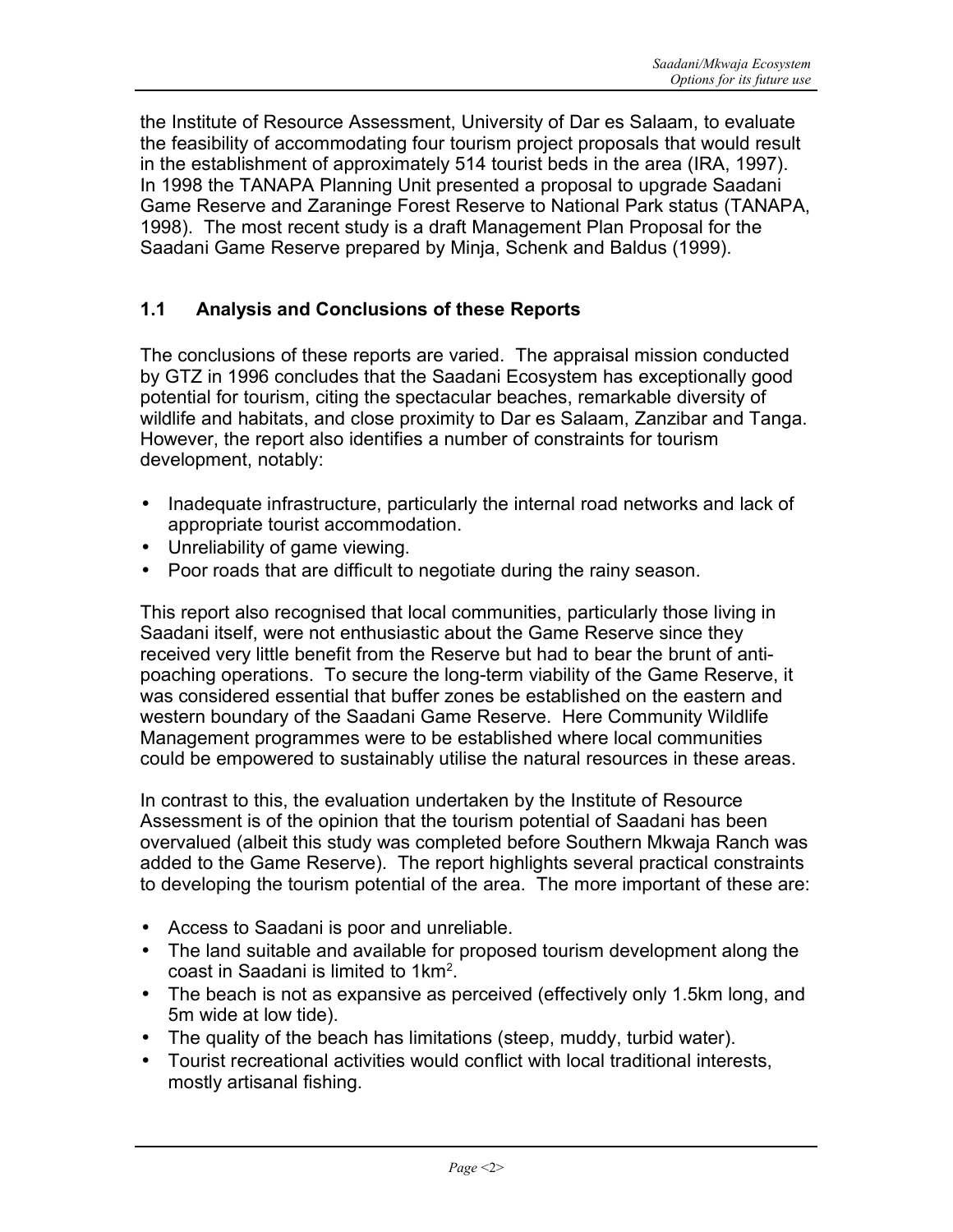the Institute of Resource Assessment, University of Dar es Salaam, to evaluate the feasibility of accommodating four tourism project proposals that would result in the establishment of approximately 514 tourist beds in the area (IRA, 1997). In 1998 the TANAPA Planning Unit presented a proposal to upgrade Saadani Game Reserve and Zaraninge Forest Reserve to National Park status (TANAPA, 1998). The most recent study is a draft Management Plan Proposal for the Saadani Game Reserve prepared by Minja, Schenk and Baldus (1999).

# **1.1 Analysis and Conclusions of these Reports**

The conclusions of these reports are varied. The appraisal mission conducted by GTZ in 1996 concludes that the Saadani Ecosystem has exceptionally good potential for tourism, citing the spectacular beaches, remarkable diversity of wildlife and habitats, and close proximity to Dar es Salaam, Zanzibar and Tanga. However, the report also identifies a number of constraints for tourism development, notably:

- Inadequate infrastructure, particularly the internal road networks and lack of appropriate tourist accommodation.
- Unreliability of game viewing.
- Poor roads that are difficult to negotiate during the rainy season.

This report also recognised that local communities, particularly those living in Saadani itself, were not enthusiastic about the Game Reserve since they received very little benefit from the Reserve but had to bear the brunt of antipoaching operations. To secure the long-term viability of the Game Reserve, it was considered essential that buffer zones be established on the eastern and western boundary of the Saadani Game Reserve. Here Community Wildlife Management programmes were to be established where local communities could be empowered to sustainably utilise the natural resources in these areas.

In contrast to this, the evaluation undertaken by the Institute of Resource Assessment is of the opinion that the tourism potential of Saadani has been overvalued (albeit this study was completed before Southern Mkwaja Ranch was added to the Game Reserve). The report highlights several practical constraints to developing the tourism potential of the area. The more important of these are:

- Access to Saadani is poor and unreliable.
- The land suitable and available for proposed tourism development along the coast in Saadani is limited to  $1km^2$ .
- The beach is not as expansive as perceived (effectively only 1.5km long, and 5m wide at low tide).
- The quality of the beach has limitations (steep, muddy, turbid water).
- Tourist recreational activities would conflict with local traditional interests, mostly artisanal fishing.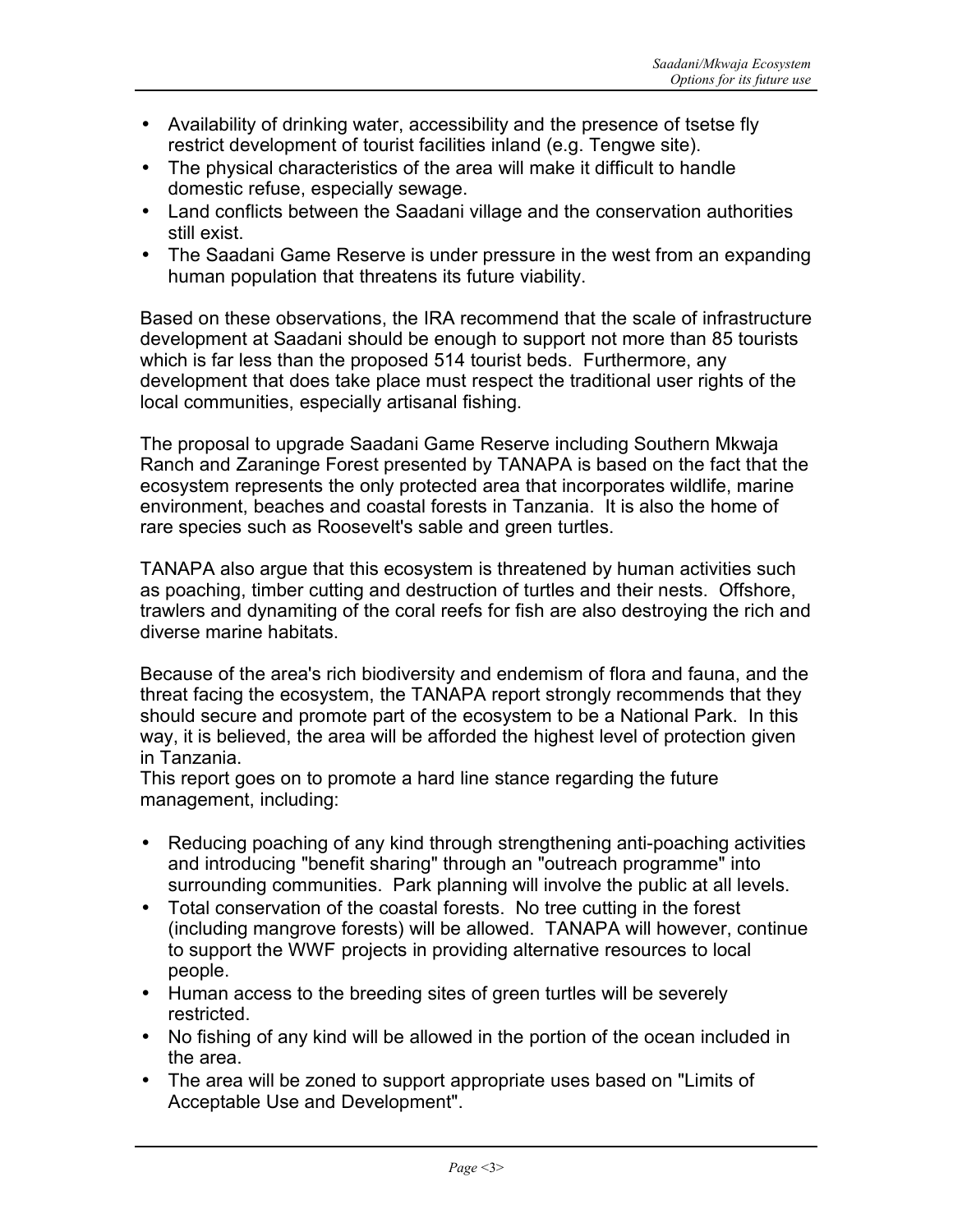- Availability of drinking water, accessibility and the presence of tsetse fly restrict development of tourist facilities inland (e.g. Tengwe site).
- The physical characteristics of the area will make it difficult to handle domestic refuse, especially sewage.
- Land conflicts between the Saadani village and the conservation authorities still exist.
- The Saadani Game Reserve is under pressure in the west from an expanding human population that threatens its future viability.

Based on these observations, the IRA recommend that the scale of infrastructure development at Saadani should be enough to support not more than 85 tourists which is far less than the proposed 514 tourist beds. Furthermore, any development that does take place must respect the traditional user rights of the local communities, especially artisanal fishing.

The proposal to upgrade Saadani Game Reserve including Southern Mkwaja Ranch and Zaraninge Forest presented by TANAPA is based on the fact that the ecosystem represents the only protected area that incorporates wildlife, marine environment, beaches and coastal forests in Tanzania. It is also the home of rare species such as Roosevelt's sable and green turtles.

TANAPA also argue that this ecosystem is threatened by human activities such as poaching, timber cutting and destruction of turtles and their nests. Offshore, trawlers and dynamiting of the coral reefs for fish are also destroying the rich and diverse marine habitats.

Because of the area's rich biodiversity and endemism of flora and fauna, and the threat facing the ecosystem, the TANAPA report strongly recommends that they should secure and promote part of the ecosystem to be a National Park. In this way, it is believed, the area will be afforded the highest level of protection given in Tanzania.

This report goes on to promote a hard line stance regarding the future management, including:

- Reducing poaching of any kind through strengthening anti-poaching activities and introducing "benefit sharing" through an "outreach programme" into surrounding communities. Park planning will involve the public at all levels.
- Total conservation of the coastal forests. No tree cutting in the forest (including mangrove forests) will be allowed. TANAPA will however, continue to support the WWF projects in providing alternative resources to local people.
- Human access to the breeding sites of green turtles will be severely restricted.
- No fishing of any kind will be allowed in the portion of the ocean included in the area.
- The area will be zoned to support appropriate uses based on "Limits of Acceptable Use and Development".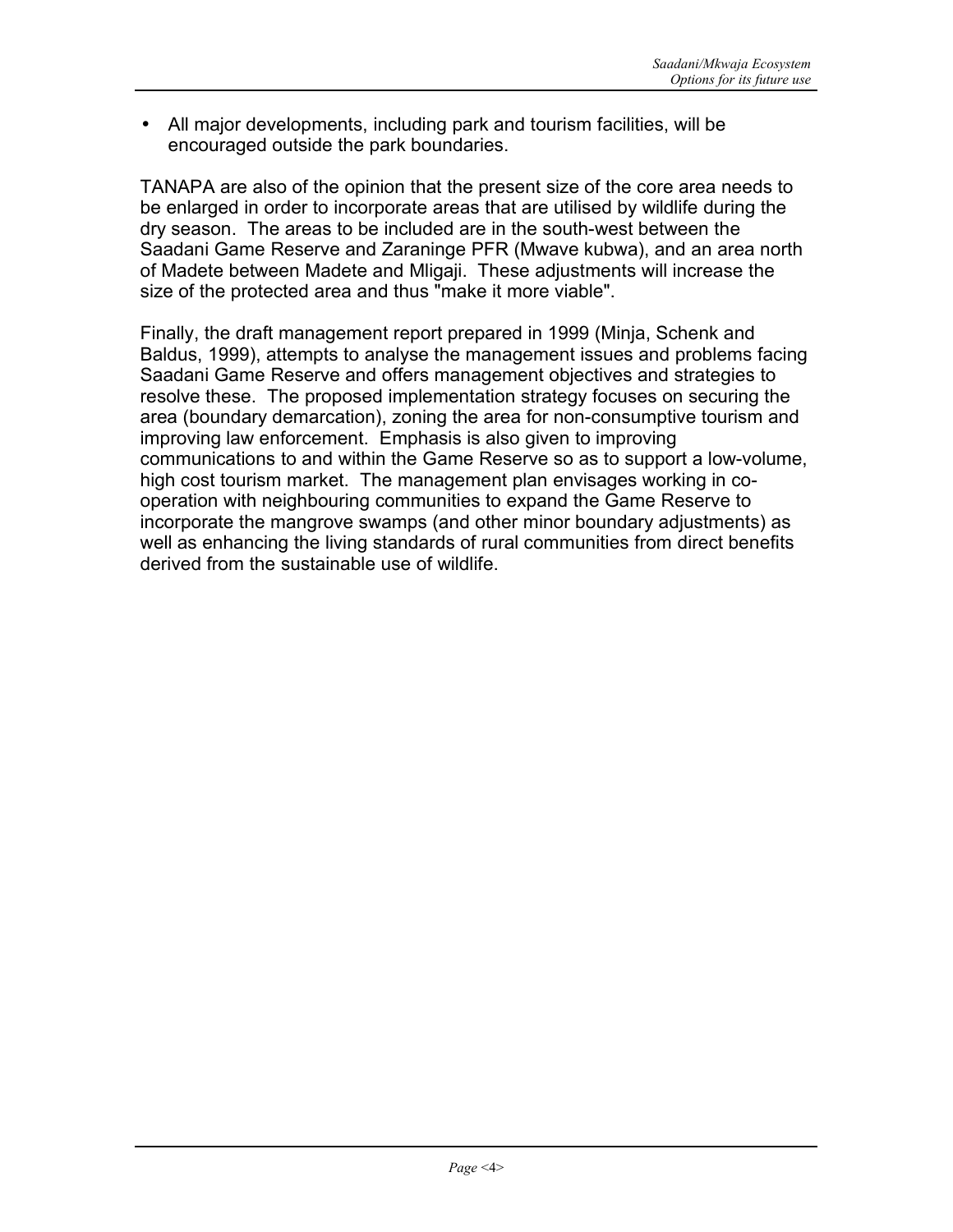• All major developments, including park and tourism facilities, will be encouraged outside the park boundaries.

TANAPA are also of the opinion that the present size of the core area needs to be enlarged in order to incorporate areas that are utilised by wildlife during the dry season. The areas to be included are in the south-west between the Saadani Game Reserve and Zaraninge PFR (Mwave kubwa), and an area north of Madete between Madete and Mligaji. These adjustments will increase the size of the protected area and thus "make it more viable".

Finally, the draft management report prepared in 1999 (Minja, Schenk and Baldus, 1999), attempts to analyse the management issues and problems facing Saadani Game Reserve and offers management objectives and strategies to resolve these. The proposed implementation strategy focuses on securing the area (boundary demarcation), zoning the area for non-consumptive tourism and improving law enforcement. Emphasis is also given to improving communications to and within the Game Reserve so as to support a low-volume, high cost tourism market. The management plan envisages working in cooperation with neighbouring communities to expand the Game Reserve to incorporate the mangrove swamps (and other minor boundary adjustments) as well as enhancing the living standards of rural communities from direct benefits derived from the sustainable use of wildlife.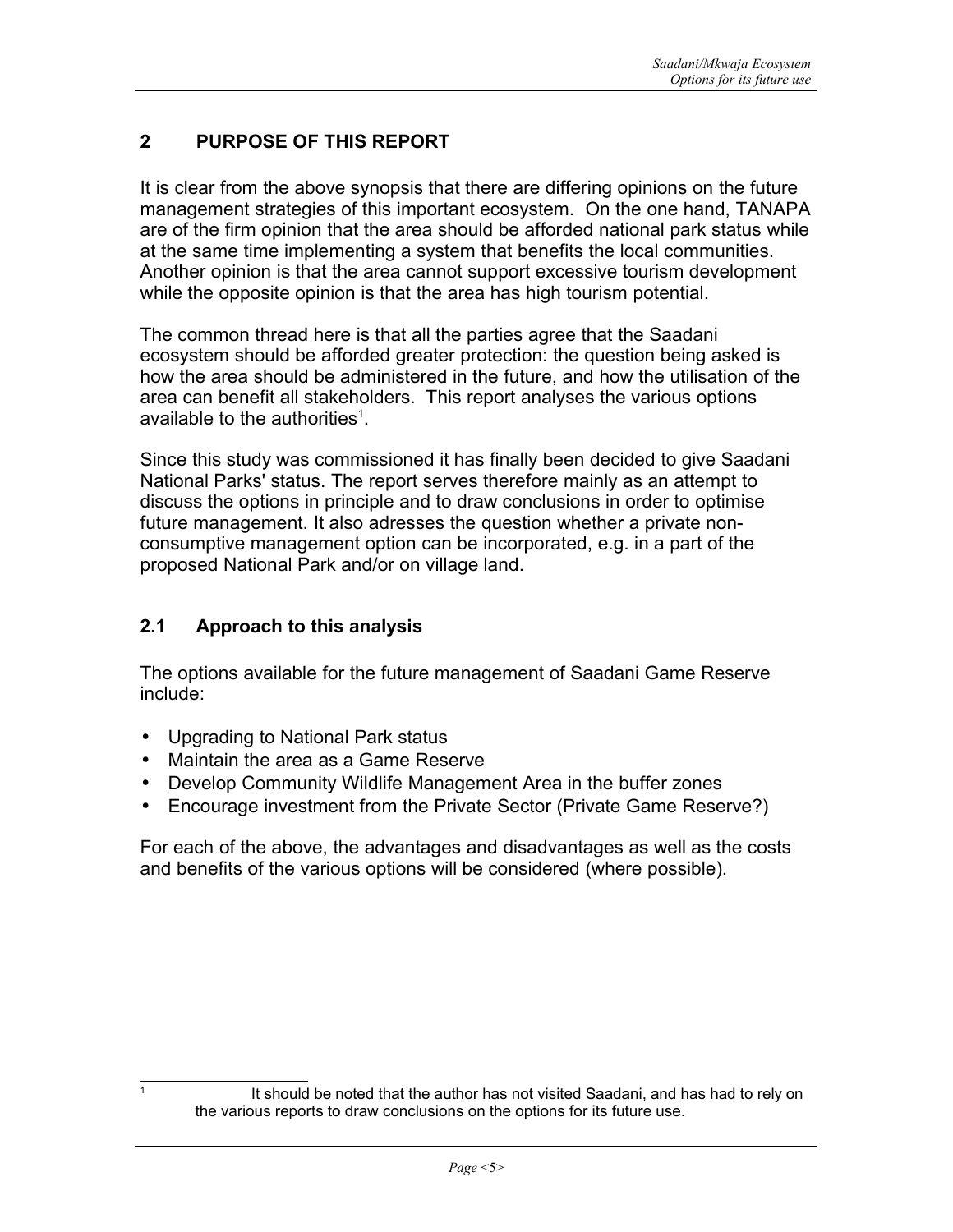# **2 PURPOSE OF THIS REPORT**

It is clear from the above synopsis that there are differing opinions on the future management strategies of this important ecosystem. On the one hand, TANAPA are of the firm opinion that the area should be afforded national park status while at the same time implementing a system that benefits the local communities. Another opinion is that the area cannot support excessive tourism development while the opposite opinion is that the area has high tourism potential.

The common thread here is that all the parties agree that the Saadani ecosystem should be afforded greater protection: the question being asked is how the area should be administered in the future, and how the utilisation of the area can benefit all stakeholders. This report analyses the various options available to the authorities<sup>1</sup>.

Since this study was commissioned it has finally been decided to give Saadani National Parks' status. The report serves therefore mainly as an attempt to discuss the options in principle and to draw conclusions in order to optimise future management. It also adresses the question whether a private nonconsumptive management option can be incorporated, e.g. in a part of the proposed National Park and/or on village land.

# **2.1 Approach to this analysis**

The options available for the future management of Saadani Game Reserve include:

- Upgrading to National Park status
- Maintain the area as a Game Reserve
- Develop Community Wildlife Management Area in the buffer zones
- Encourage investment from the Private Sector (Private Game Reserve?)

For each of the above, the advantages and disadvantages as well as the costs and benefits of the various options will be considered (where possible).

<sup>1</sup>

It should be noted that the author has not visited Saadani, and has had to rely on the various reports to draw conclusions on the options for its future use.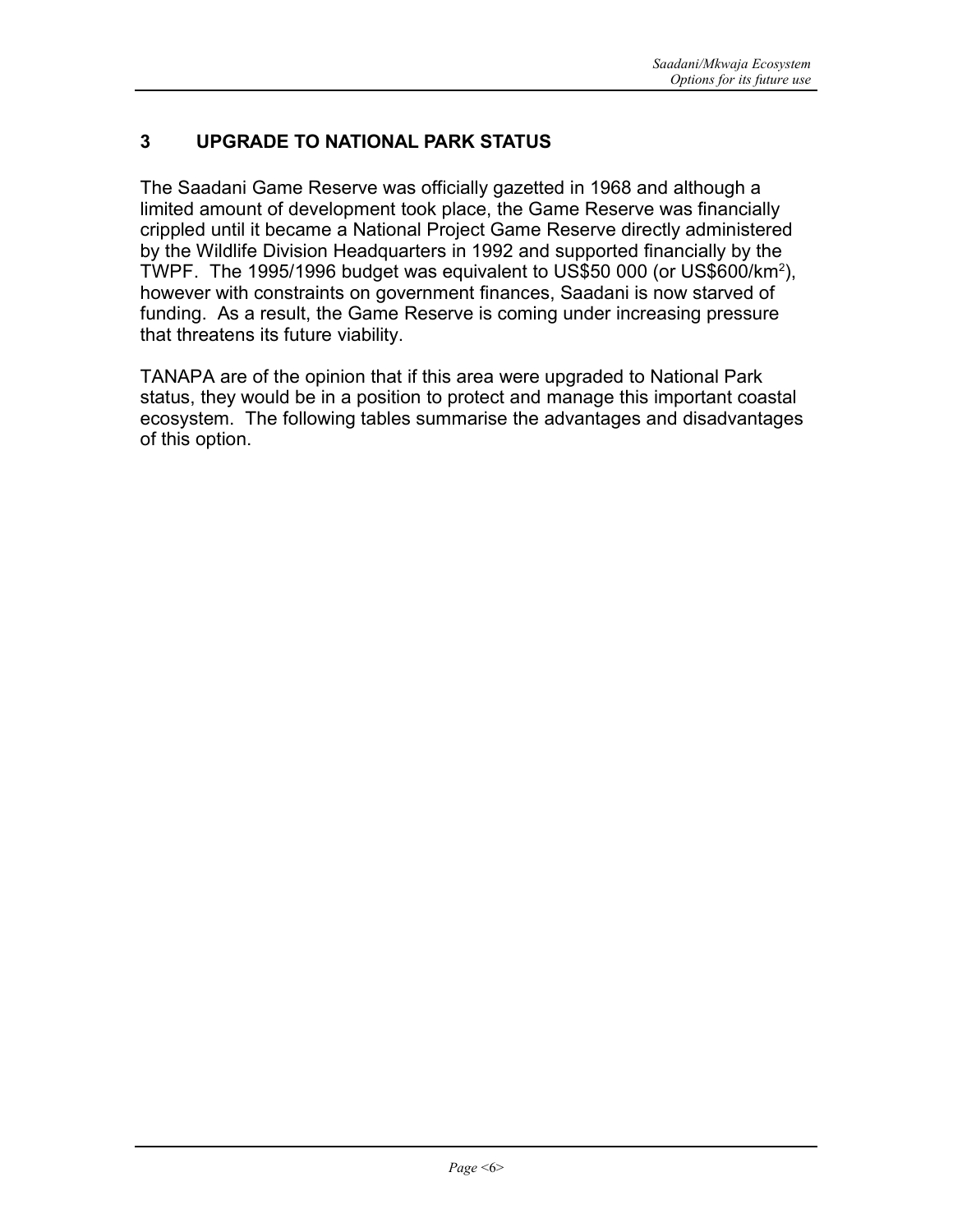# **3 UPGRADE TO NATIONAL PARK STATUS**

The Saadani Game Reserve was officially gazetted in 1968 and although a limited amount of development took place, the Game Reserve was financially crippled until it became a National Project Game Reserve directly administered by the Wildlife Division Headquarters in 1992 and supported financially by the TWPF. The 1995/1996 budget was equivalent to US\$50 000 (or US\$600/km<sup>2</sup>), however with constraints on government finances, Saadani is now starved of funding. As a result, the Game Reserve is coming under increasing pressure that threatens its future viability.

TANAPA are of the opinion that if this area were upgraded to National Park status, they would be in a position to protect and manage this important coastal ecosystem. The following tables summarise the advantages and disadvantages of this option.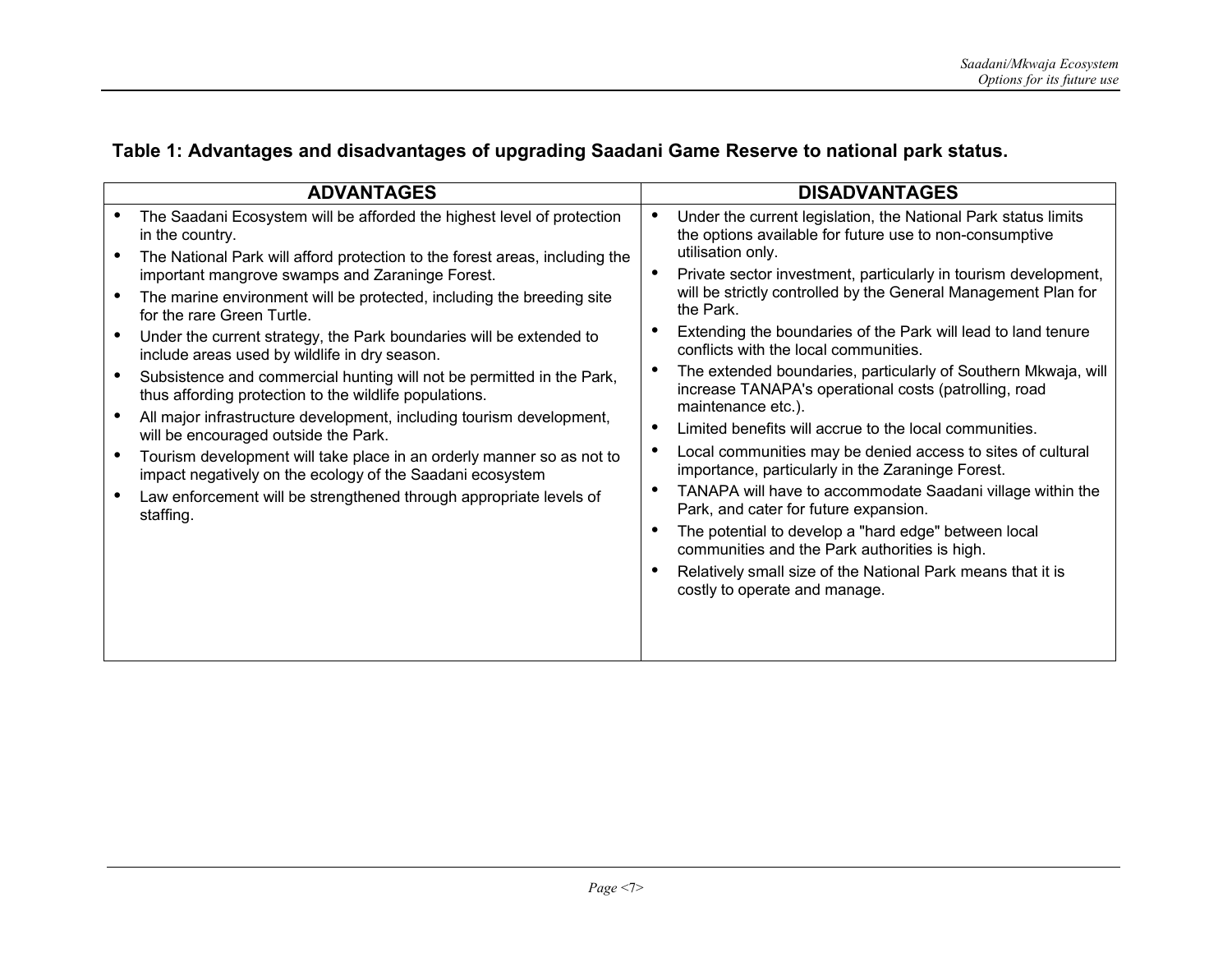|  |  | Table 1: Advantages and disadvantages of upgrading Saadani Game Reserve to national park status. |  |  |  |  |
|--|--|--------------------------------------------------------------------------------------------------|--|--|--|--|
|--|--|--------------------------------------------------------------------------------------------------|--|--|--|--|

| <b>ADVANTAGES</b>                                                                                                                                                                                                                                                                                                                                                                                                                                                                                                                                                                                                                                                                                                                                          | <b>DISADVANTAGES</b>                                                                                                                                                                                                                                                                                                                                                                                                                                                                                                                                                                                                                                                                                                                                                                                                                                                                                                                                      |
|------------------------------------------------------------------------------------------------------------------------------------------------------------------------------------------------------------------------------------------------------------------------------------------------------------------------------------------------------------------------------------------------------------------------------------------------------------------------------------------------------------------------------------------------------------------------------------------------------------------------------------------------------------------------------------------------------------------------------------------------------------|-----------------------------------------------------------------------------------------------------------------------------------------------------------------------------------------------------------------------------------------------------------------------------------------------------------------------------------------------------------------------------------------------------------------------------------------------------------------------------------------------------------------------------------------------------------------------------------------------------------------------------------------------------------------------------------------------------------------------------------------------------------------------------------------------------------------------------------------------------------------------------------------------------------------------------------------------------------|
| The Saadani Ecosystem will be afforded the highest level of protection<br>in the country.<br>The National Park will afford protection to the forest areas, including the                                                                                                                                                                                                                                                                                                                                                                                                                                                                                                                                                                                   | Under the current legislation, the National Park status limits<br>the options available for future use to non-consumptive<br>utilisation only.<br>О                                                                                                                                                                                                                                                                                                                                                                                                                                                                                                                                                                                                                                                                                                                                                                                                       |
| important mangrove swamps and Zaraninge Forest.<br>The marine environment will be protected, including the breeding site<br>for the rare Green Turtle.<br>Under the current strategy, the Park boundaries will be extended to<br>include areas used by wildlife in dry season.<br>Subsistence and commercial hunting will not be permitted in the Park,<br>thus affording protection to the wildlife populations.<br>All major infrastructure development, including tourism development,<br>will be encouraged outside the Park.<br>Tourism development will take place in an orderly manner so as not to<br>impact negatively on the ecology of the Saadani ecosystem<br>Law enforcement will be strengthened through appropriate levels of<br>staffing. | Private sector investment, particularly in tourism development,<br>will be strictly controlled by the General Management Plan for<br>the Park.<br>Extending the boundaries of the Park will lead to land tenure<br>conflicts with the local communities.<br>The extended boundaries, particularly of Southern Mkwaja, will<br>О<br>increase TANAPA's operational costs (patrolling, road<br>maintenance etc.).<br>Limited benefits will accrue to the local communities.<br>О<br>Local communities may be denied access to sites of cultural<br>$\epsilon$<br>importance, particularly in the Zaraninge Forest.<br>TANAPA will have to accommodate Saadani village within the<br>$\bullet$<br>Park, and cater for future expansion.<br>The potential to develop a "hard edge" between local<br>$\bullet$<br>communities and the Park authorities is high.<br>Relatively small size of the National Park means that it is<br>costly to operate and manage. |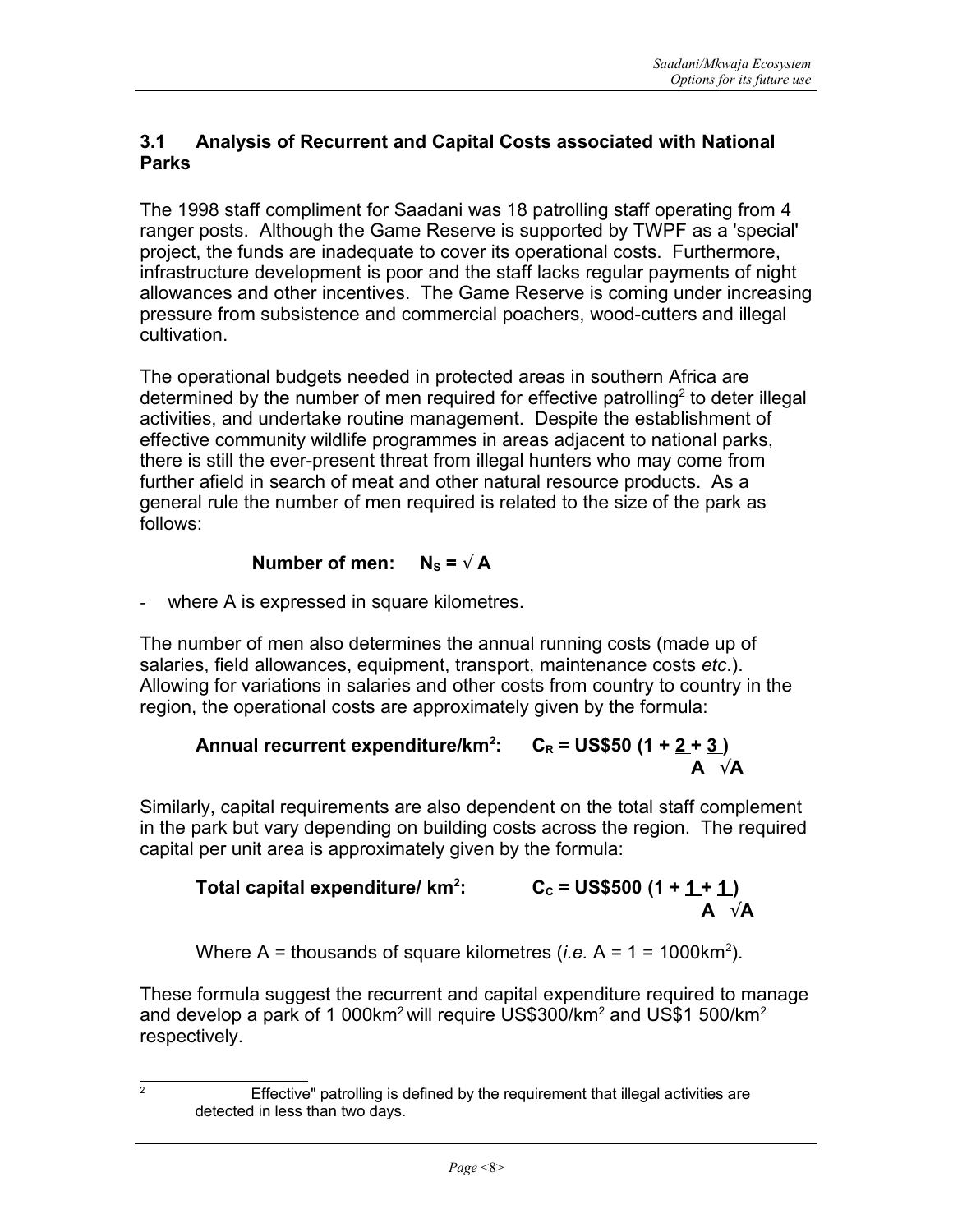## **3.1 Analysis of Recurrent and Capital Costs associated with National Parks**

The 1998 staff compliment for Saadani was 18 patrolling staff operating from 4 ranger posts. Although the Game Reserve is supported by TWPF as a 'special' project, the funds are inadequate to cover its operational costs. Furthermore, infrastructure development is poor and the staff lacks regular payments of night allowances and other incentives. The Game Reserve is coming under increasing pressure from subsistence and commercial poachers, wood-cutters and illegal cultivation.

The operational budgets needed in protected areas in southern Africa are determined by the number of men required for effective patrolling<sup>2</sup> to deter illegal activities, and undertake routine management. Despite the establishment of effective community wildlife programmes in areas adjacent to national parks, there is still the ever-present threat from illegal hunters who may come from further afield in search of meat and other natural resource products. As a general rule the number of men required is related to the size of the park as follows:

# **Number** of men:  $N_s = \sqrt{A}$

where A is expressed in square kilometres.

The number of men also determines the annual running costs (made up of salaries, field allowances, equipment, transport, maintenance costs *etc*.). Allowing for variations in salaries and other costs from country to country in the region, the operational costs are approximately given by the formula:

# **Annual recurrent expenditure/km<sup>2</sup> : CR = US\$50 (1 + 2 + 3 ) A** √**A**

Similarly, capital requirements are also dependent on the total staff complement in the park but vary depending on building costs across the region. The required capital per unit area is approximately given by the formula:

# **Total capital expenditure/ km<sup>2</sup> : CC = US\$500 (1 + 1 + 1 ) A** √**A**

Where A = thousands of square kilometres (*i.e.*  $A = 1 = 1000 \text{km}^2$ ).

These formula suggest the recurrent and capital expenditure required to manage and develop a park of 1 000km<sup>2</sup> will require US\$300/km<sup>2</sup> and US\$1 500/km<sup>2</sup> respectively.

 $\frac{1}{2}$  Effective" patrolling is defined by the requirement that illegal activities are detected in less than two days.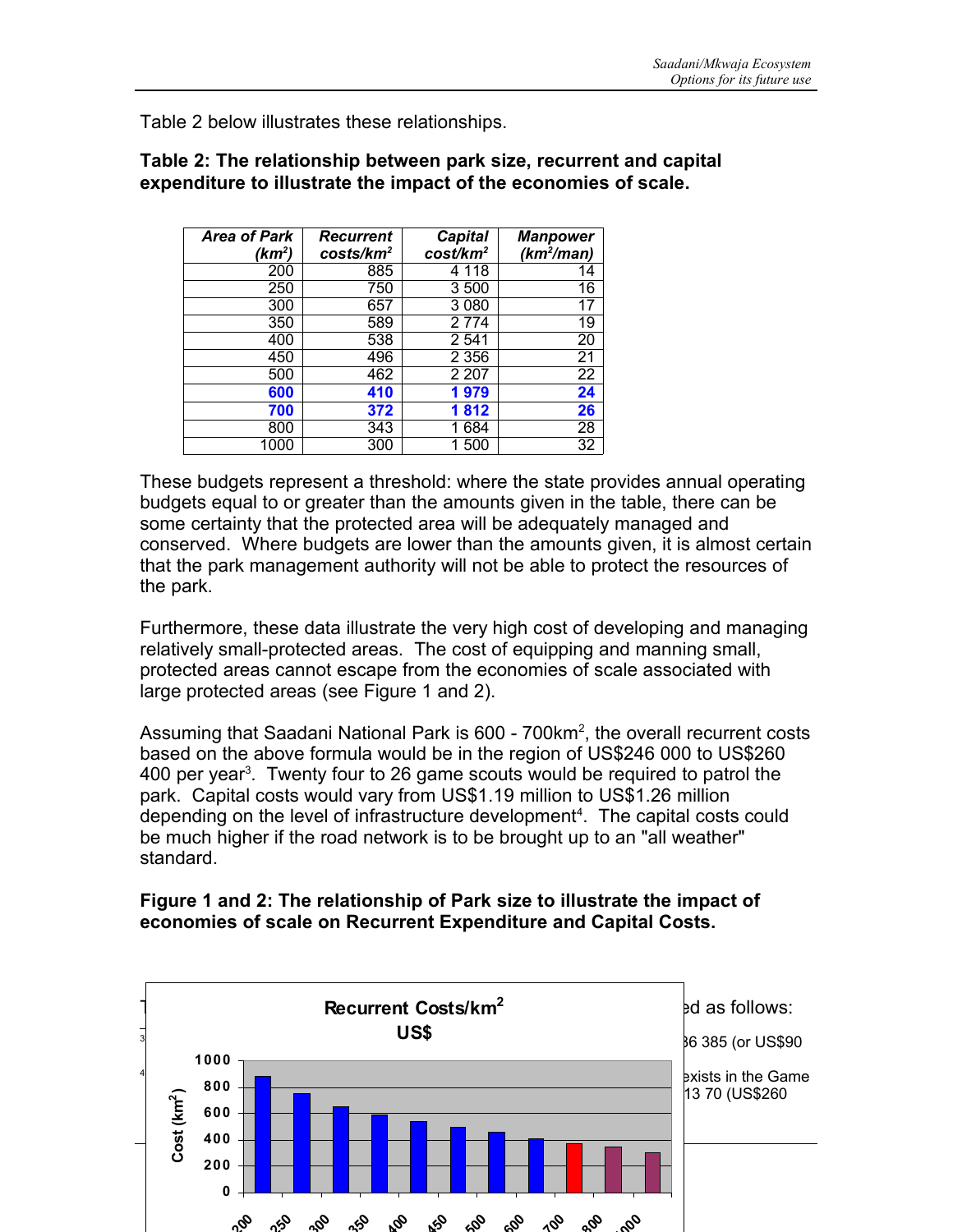Table 2 below illustrates these relationships.

| <b>Area of Park</b> | Recurrent             | <b>Capital</b>       | <b>Manpower</b> |
|---------------------|-----------------------|----------------------|-----------------|
| $(km^2)$            | costs/km <sup>2</sup> | cost/km <sup>2</sup> | $(km^2/man)$    |
| 200                 | 885                   | 4 118                | 14              |
| 250                 | 750                   | 3500                 | 16              |
| 300                 | 657                   | 3080                 | 17              |
| 350                 | 589                   | 2 7 7 4              | 19              |
| 400                 | 538                   | 2 5 4 1              | 20              |
| 450                 | 496                   | 2 3 5 6              | 21              |
| 500                 | 462                   | 2 207                | 22              |
| 600                 | 410                   | 1979                 | 24              |
| 700                 | 372                   | 1812                 | 26              |
| 800                 | 343                   | 1 684                | 28              |
| 1000                | 300                   | 1500                 | 32              |

#### **Table 2: The relationship between park size, recurrent and capital expenditure to illustrate the impact of the economies of scale.**

These budgets represent a threshold: where the state provides annual operating budgets equal to or greater than the amounts given in the table, there can be some certainty that the protected area will be adequately managed and conserved. Where budgets are lower than the amounts given, it is almost certain that the park management authority will not be able to protect the resources of the park.

Furthermore, these data illustrate the very high cost of developing and managing relatively small-protected areas. The cost of equipping and manning small, protected areas cannot escape from the economies of scale associated with large protected areas (see Figure 1 and 2).

Assuming that Saadani National Park is 600 - 700km<sup>2</sup>, the overall recurrent costs based on the above formula would be in the region of US\$246 000 to US\$260 400 per year 3 . Twenty four to 26 game scouts would be required to patrol the park. Capital costs would vary from US\$1.19 million to US\$1.26 million depending on the level of infrastructure development<sup>4</sup>. The capital costs could be much higher if the road network is to be brought up to an "all weather" standard.

## **Figure 1 and 2: The relationship of Park size to illustrate the impact of economies of scale on Recurrent Expenditure and Capital Costs.**

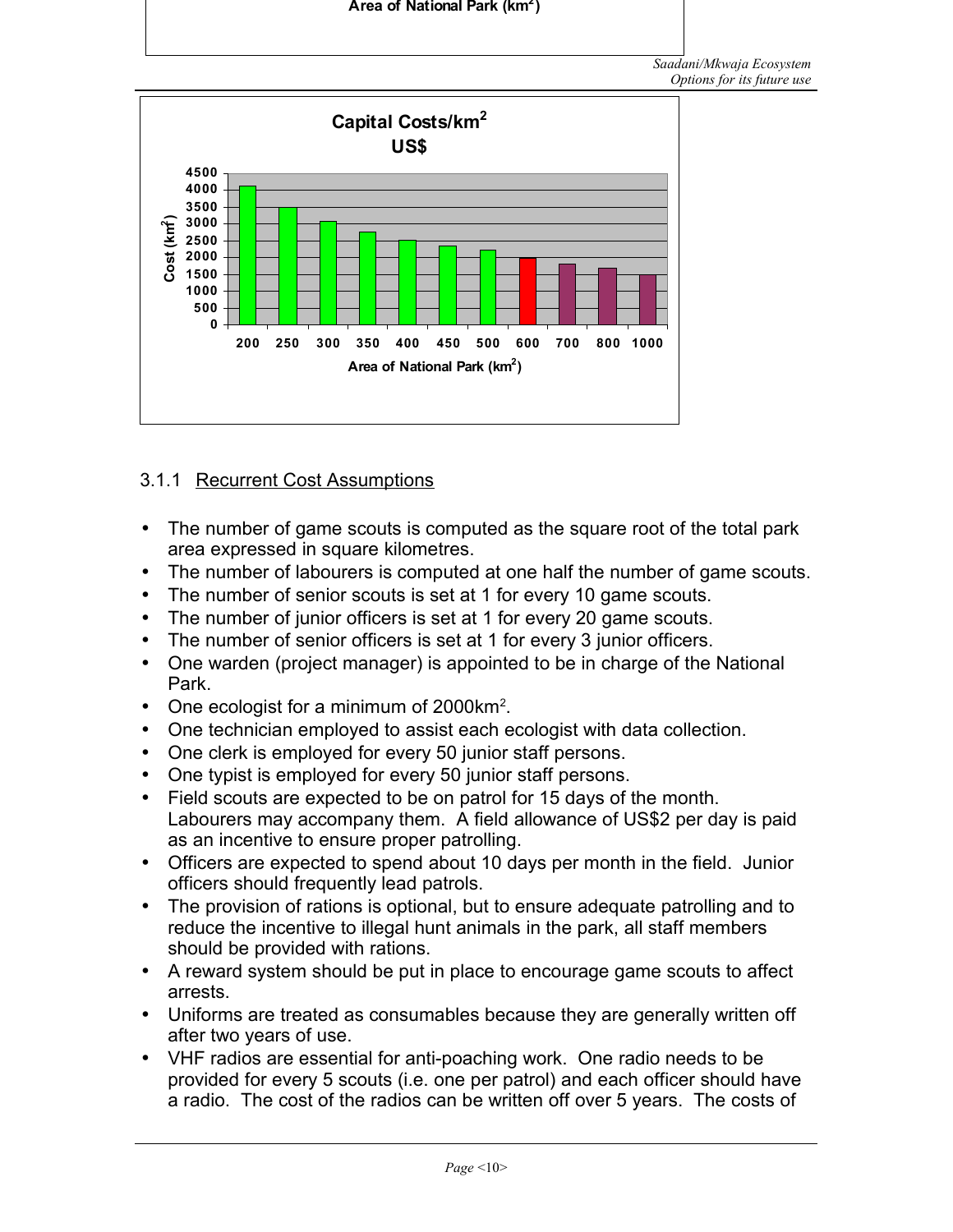

# 3.1.1 Recurrent Cost Assumptions

- The number of game scouts is computed as the square root of the total park area expressed in square kilometres.
- The number of labourers is computed at one half the number of game scouts.
- The number of senior scouts is set at 1 for every 10 game scouts.

**Area of National Park (km 2 )**

- The number of junior officers is set at 1 for every 20 game scouts.
- The number of senior officers is set at 1 for every 3 junior officers.
- One warden (project manager) is appointed to be in charge of the National Park.
- One ecologist for a minimum of 2000 $km^2$ .
- One technician employed to assist each ecologist with data collection.
- One clerk is employed for every 50 junior staff persons.
- One typist is employed for every 50 junior staff persons.
- Field scouts are expected to be on patrol for 15 days of the month. Labourers may accompany them. A field allowance of US\$2 per day is paid as an incentive to ensure proper patrolling.
- Officers are expected to spend about 10 days per month in the field. Junior officers should frequently lead patrols.
- The provision of rations is optional, but to ensure adequate patrolling and to reduce the incentive to illegal hunt animals in the park, all staff members should be provided with rations.
- A reward system should be put in place to encourage game scouts to affect arrests.
- Uniforms are treated as consumables because they are generally written off after two years of use.
- VHF radios are essential for anti-poaching work. One radio needs to be provided for every 5 scouts (i.e. one per patrol) and each officer should have a radio. The cost of the radios can be written off over 5 years. The costs of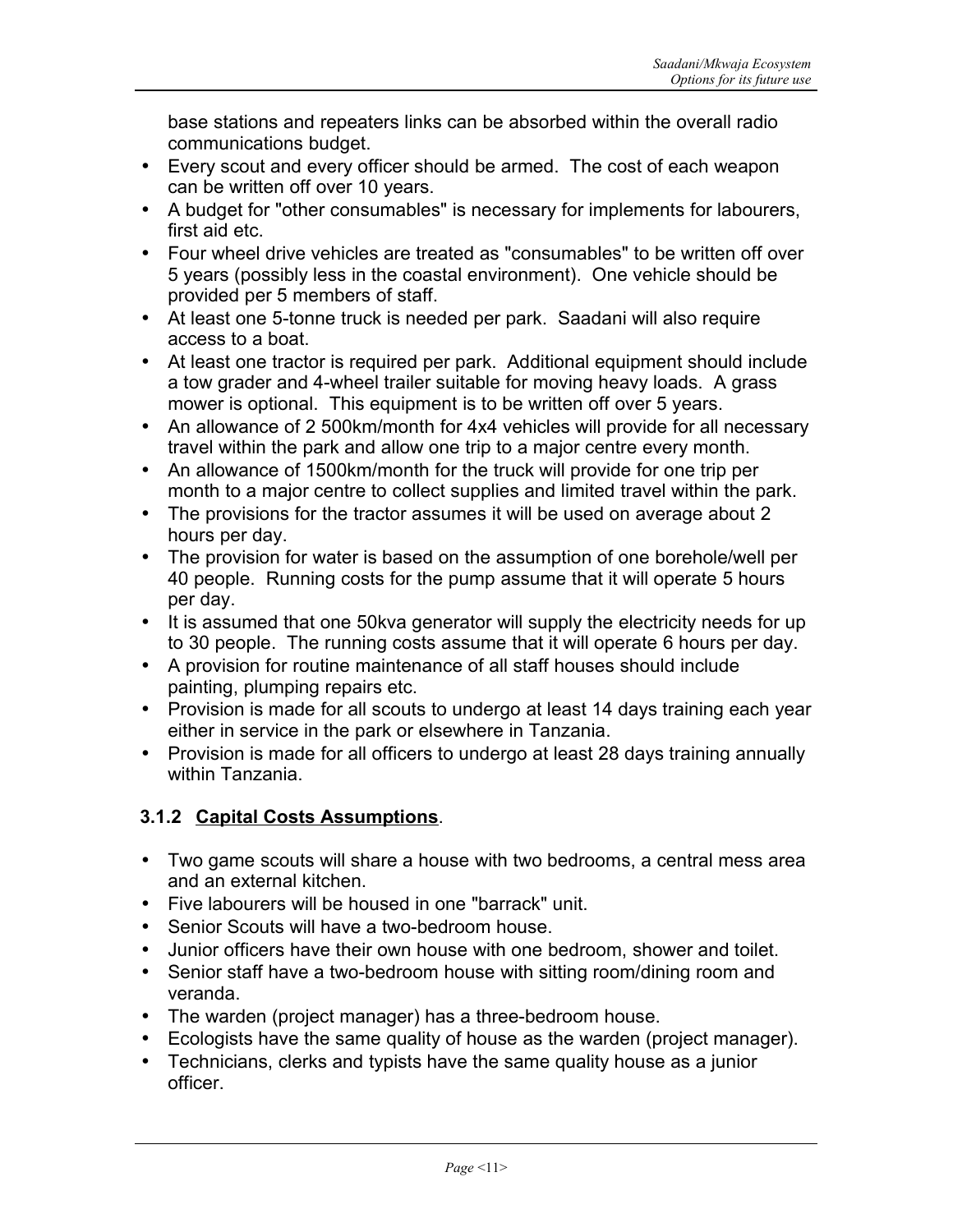base stations and repeaters links can be absorbed within the overall radio communications budget.

- Every scout and every officer should be armed. The cost of each weapon can be written off over 10 years.
- A budget for "other consumables" is necessary for implements for labourers, first aid etc.
- Four wheel drive vehicles are treated as "consumables" to be written off over 5 years (possibly less in the coastal environment). One vehicle should be provided per 5 members of staff.
- At least one 5-tonne truck is needed per park. Saadani will also require access to a boat.
- At least one tractor is required per park. Additional equipment should include a tow grader and 4-wheel trailer suitable for moving heavy loads. A grass mower is optional. This equipment is to be written off over 5 years.
- An allowance of 2 500km/month for 4x4 vehicles will provide for all necessary travel within the park and allow one trip to a major centre every month.
- An allowance of 1500km/month for the truck will provide for one trip per month to a major centre to collect supplies and limited travel within the park.
- The provisions for the tractor assumes it will be used on average about 2 hours per day.
- The provision for water is based on the assumption of one borehole/well per 40 people. Running costs for the pump assume that it will operate 5 hours per day.
- It is assumed that one 50kva generator will supply the electricity needs for up to 30 people. The running costs assume that it will operate 6 hours per day.
- A provision for routine maintenance of all staff houses should include painting, plumping repairs etc.
- Provision is made for all scouts to undergo at least 14 days training each year either in service in the park or elsewhere in Tanzania.
- Provision is made for all officers to undergo at least 28 days training annually within Tanzania.

# **3.1.2 Capital Costs Assumptions**.

- Two game scouts will share a house with two bedrooms, a central mess area and an external kitchen.
- Five labourers will be housed in one "barrack" unit.
- Senior Scouts will have a two-bedroom house.
- Junior officers have their own house with one bedroom, shower and toilet.
- Senior staff have a two-bedroom house with sitting room/dining room and veranda.
- The warden (project manager) has a three-bedroom house.
- Ecologists have the same quality of house as the warden (project manager).
- Technicians, clerks and typists have the same quality house as a junior officer.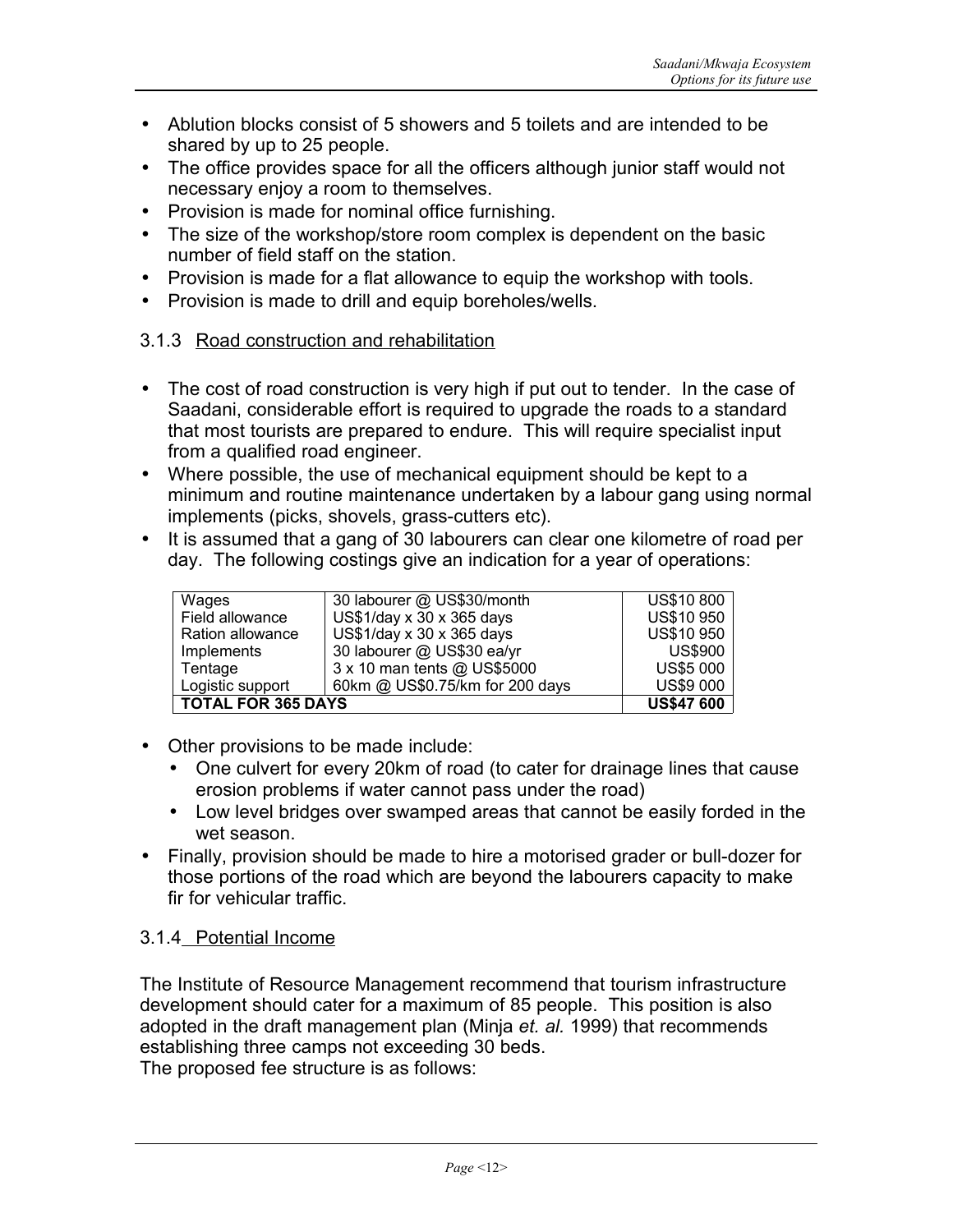- Ablution blocks consist of 5 showers and 5 toilets and are intended to be shared by up to 25 people.
- The office provides space for all the officers although junior staff would not necessary enjoy a room to themselves.
- Provision is made for nominal office furnishing.
- The size of the workshop/store room complex is dependent on the basic number of field staff on the station.
- Provision is made for a flat allowance to equip the workshop with tools.
- Provision is made to drill and equip boreholes/wells.

#### 3.1.3 Road construction and rehabilitation

- The cost of road construction is very high if put out to tender. In the case of Saadani, considerable effort is required to upgrade the roads to a standard that most tourists are prepared to endure. This will require specialist input from a qualified road engineer.
- Where possible, the use of mechanical equipment should be kept to a minimum and routine maintenance undertaken by a labour gang using normal implements (picks, shovels, grass-cutters etc).
- It is assumed that a gang of 30 labourers can clear one kilometre of road per day. The following costings give an indication for a year of operations:

| Wages                     | 30 labourer @ US\$30/month           | <b>US\$10 800</b> |
|---------------------------|--------------------------------------|-------------------|
| Field allowance           | US\$1/day $x$ 30 $x$ 365 days        | <b>US\$10 950</b> |
| Ration allowance          | $US$1/day \times 30 \times 365$ days | <b>US\$10 950</b> |
| Implements                | 30 labourer @ US\$30 ea/yr           | <b>US\$900</b>    |
| Tentage                   | 3 x 10 man tents @ US\$5000          | <b>US\$5 000</b>  |
| Logistic support          | 60km @ US\$0.75/km for 200 days      | <b>US\$9 000</b>  |
| <b>TOTAL FOR 365 DAYS</b> | <b>US\$47 600</b>                    |                   |

- Other provisions to be made include:
	- One culvert for every 20km of road (to cater for drainage lines that cause erosion problems if water cannot pass under the road)
	- Low level bridges over swamped areas that cannot be easily forded in the wet season.
- Finally, provision should be made to hire a motorised grader or bull-dozer for those portions of the road which are beyond the labourers capacity to make fir for vehicular traffic.

#### 3.1.4 Potential Income

The Institute of Resource Management recommend that tourism infrastructure development should cater for a maximum of 85 people. This position is also adopted in the draft management plan (Minja *et. al.* 1999) that recommends establishing three camps not exceeding 30 beds. The proposed fee structure is as follows:

*Page* <12>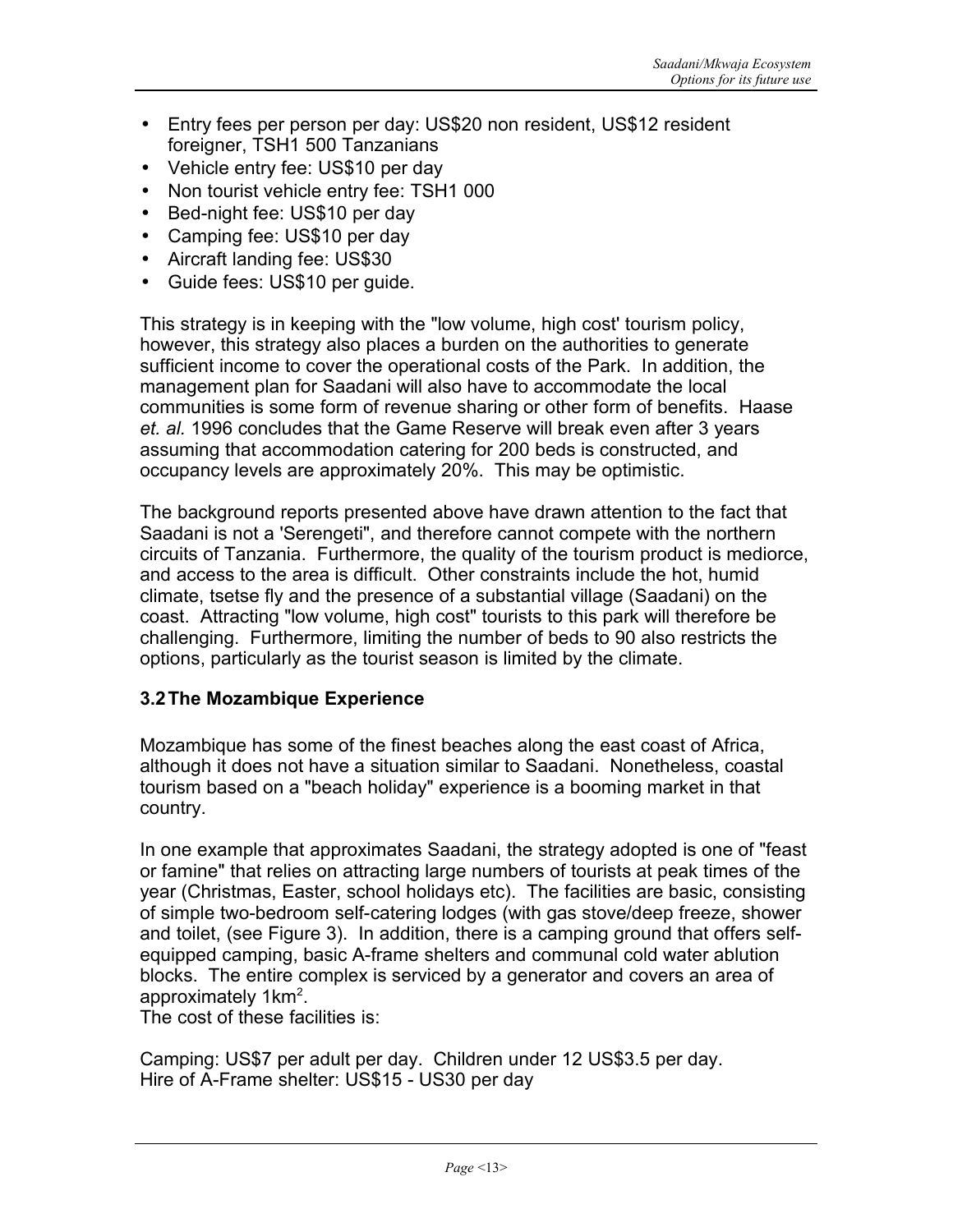- Entry fees per person per day: US\$20 non resident, US\$12 resident foreigner, TSH1 500 Tanzanians
- Vehicle entry fee: US\$10 per day
- Non tourist vehicle entry fee: TSH1 000
- Bed-night fee: US\$10 per day
- Camping fee: US\$10 per day
- Aircraft landing fee: US\$30
- Guide fees: US\$10 per guide.

This strategy is in keeping with the "low volume, high cost' tourism policy, however, this strategy also places a burden on the authorities to generate sufficient income to cover the operational costs of the Park. In addition, the management plan for Saadani will also have to accommodate the local communities is some form of revenue sharing or other form of benefits. Haase *et. al.* 1996 concludes that the Game Reserve will break even after 3 years assuming that accommodation catering for 200 beds is constructed, and occupancy levels are approximately 20%. This may be optimistic.

The background reports presented above have drawn attention to the fact that Saadani is not a 'Serengeti", and therefore cannot compete with the northern circuits of Tanzania. Furthermore, the quality of the tourism product is mediorce, and access to the area is difficult. Other constraints include the hot, humid climate, tsetse fly and the presence of a substantial village (Saadani) on the coast. Attracting "low volume, high cost" tourists to this park will therefore be challenging. Furthermore, limiting the number of beds to 90 also restricts the options, particularly as the tourist season is limited by the climate.

#### **3.2The Mozambique Experience**

Mozambique has some of the finest beaches along the east coast of Africa, although it does not have a situation similar to Saadani. Nonetheless, coastal tourism based on a "beach holiday" experience is a booming market in that country.

In one example that approximates Saadani, the strategy adopted is one of "feast or famine" that relies on attracting large numbers of tourists at peak times of the year (Christmas, Easter, school holidays etc). The facilities are basic, consisting of simple two-bedroom self-catering lodges (with gas stove/deep freeze, shower and toilet, (see Figure 3). In addition, there is a camping ground that offers selfequipped camping, basic A-frame shelters and communal cold water ablution blocks. The entire complex is serviced by a generator and covers an area of approximately 1km<sup>2</sup>.

The cost of these facilities is:

Camping: US\$7 per adult per day. Children under 12 US\$3.5 per day. Hire of A-Frame shelter: US\$15 - US30 per day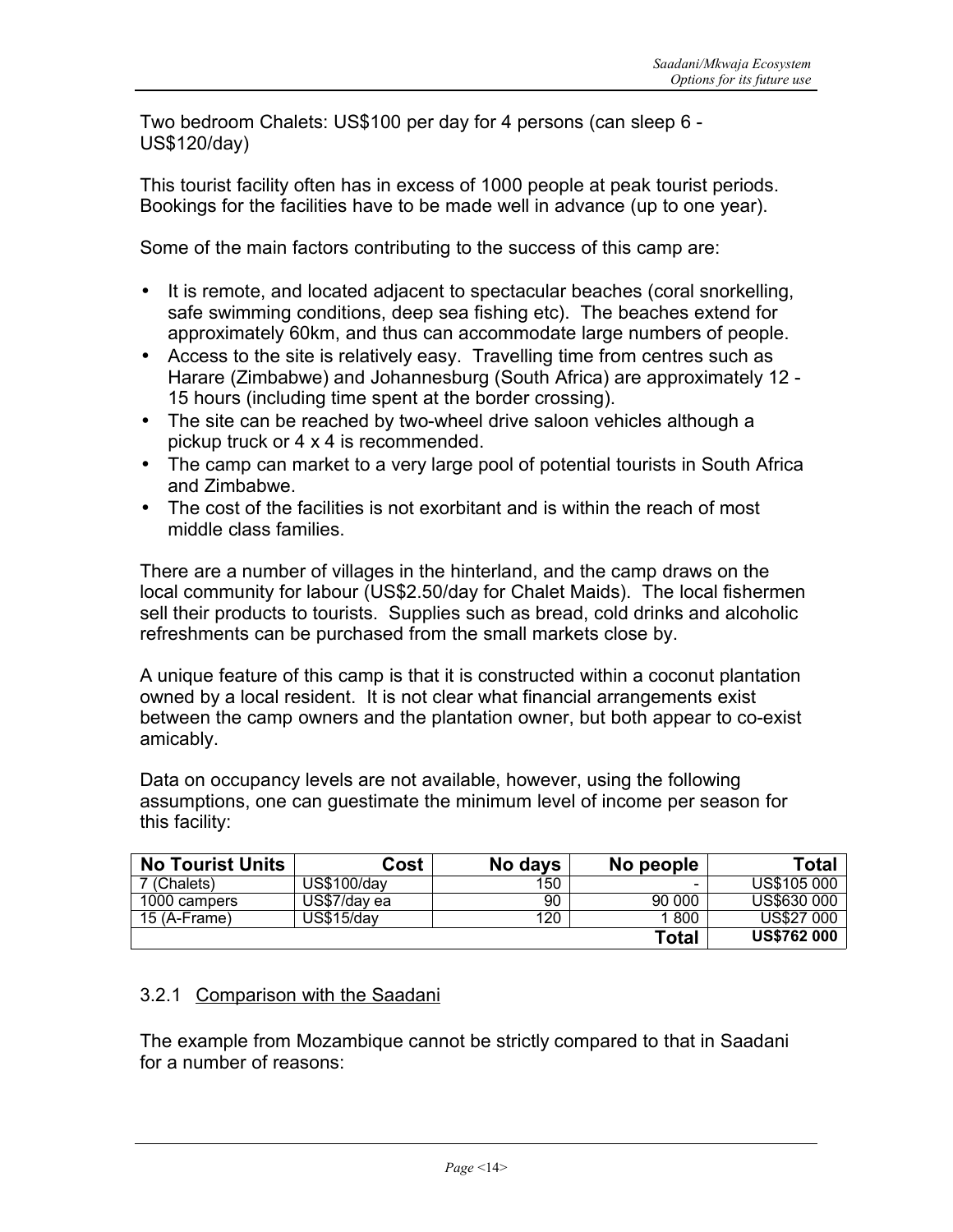Two bedroom Chalets: US\$100 per day for 4 persons (can sleep 6 - US\$120/day)

This tourist facility often has in excess of 1000 people at peak tourist periods. Bookings for the facilities have to be made well in advance (up to one year).

Some of the main factors contributing to the success of this camp are:

- It is remote, and located adjacent to spectacular beaches (coral snorkelling, safe swimming conditions, deep sea fishing etc). The beaches extend for approximately 60km, and thus can accommodate large numbers of people.
- Access to the site is relatively easy. Travelling time from centres such as Harare (Zimbabwe) and Johannesburg (South Africa) are approximately 12 - 15 hours (including time spent at the border crossing).
- The site can be reached by two-wheel drive saloon vehicles although a pickup truck or 4 x 4 is recommended.
- The camp can market to a very large pool of potential tourists in South Africa and Zimbabwe.
- The cost of the facilities is not exorbitant and is within the reach of most middle class families.

There are a number of villages in the hinterland, and the camp draws on the local community for labour (US\$2.50/day for Chalet Maids). The local fishermen sell their products to tourists. Supplies such as bread, cold drinks and alcoholic refreshments can be purchased from the small markets close by.

A unique feature of this camp is that it is constructed within a coconut plantation owned by a local resident. It is not clear what financial arrangements exist between the camp owners and the plantation owner, but both appear to co-exist amicably.

Data on occupancy levels are not available, however, using the following assumptions, one can guestimate the minimum level of income per season for this facility:

| <b>No Tourist Units</b> | Cost         | No days | No people | Total              |
|-------------------------|--------------|---------|-----------|--------------------|
| 7 (Chalets)             | US\$100/day  | 150     | -         | US\$105 000        |
| 1000 campers            | US\$7/day ea | 90      | 90 000    | US\$630 000        |
| 15 (A-Frame)            | US\$15/day   | 120     | 1 800     | <b>US\$27 000</b>  |
|                         |              |         | Total     | <b>US\$762 000</b> |

## 3.2.1 Comparison with the Saadani

The example from Mozambique cannot be strictly compared to that in Saadani for a number of reasons: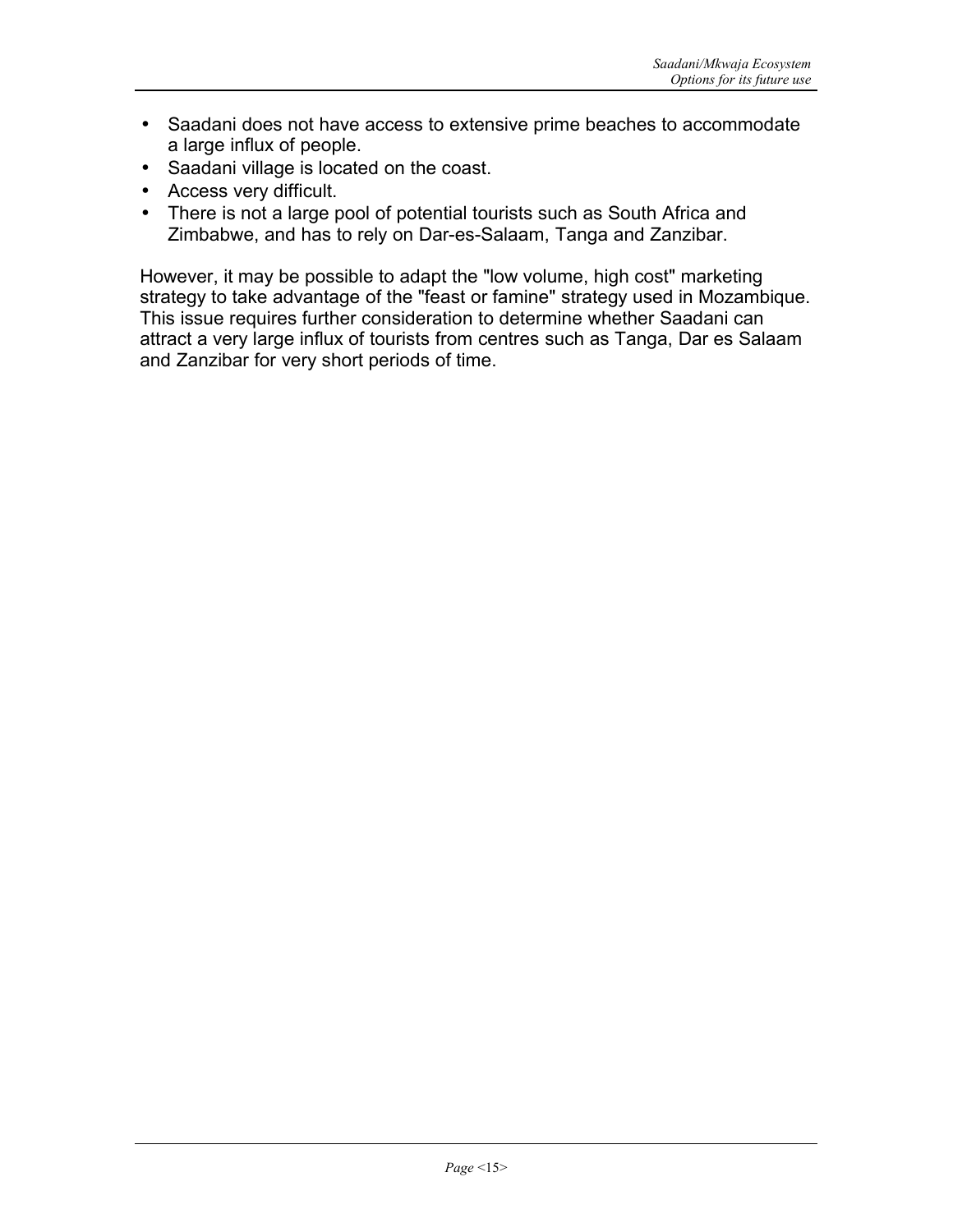- Saadani does not have access to extensive prime beaches to accommodate a large influx of people.
- Saadani village is located on the coast.
- Access very difficult.
- There is not a large pool of potential tourists such as South Africa and Zimbabwe, and has to rely on Dar-es-Salaam, Tanga and Zanzibar.

However, it may be possible to adapt the "low volume, high cost" marketing strategy to take advantage of the "feast or famine" strategy used in Mozambique. This issue requires further consideration to determine whether Saadani can attract a very large influx of tourists from centres such as Tanga, Dar es Salaam and Zanzibar for very short periods of time.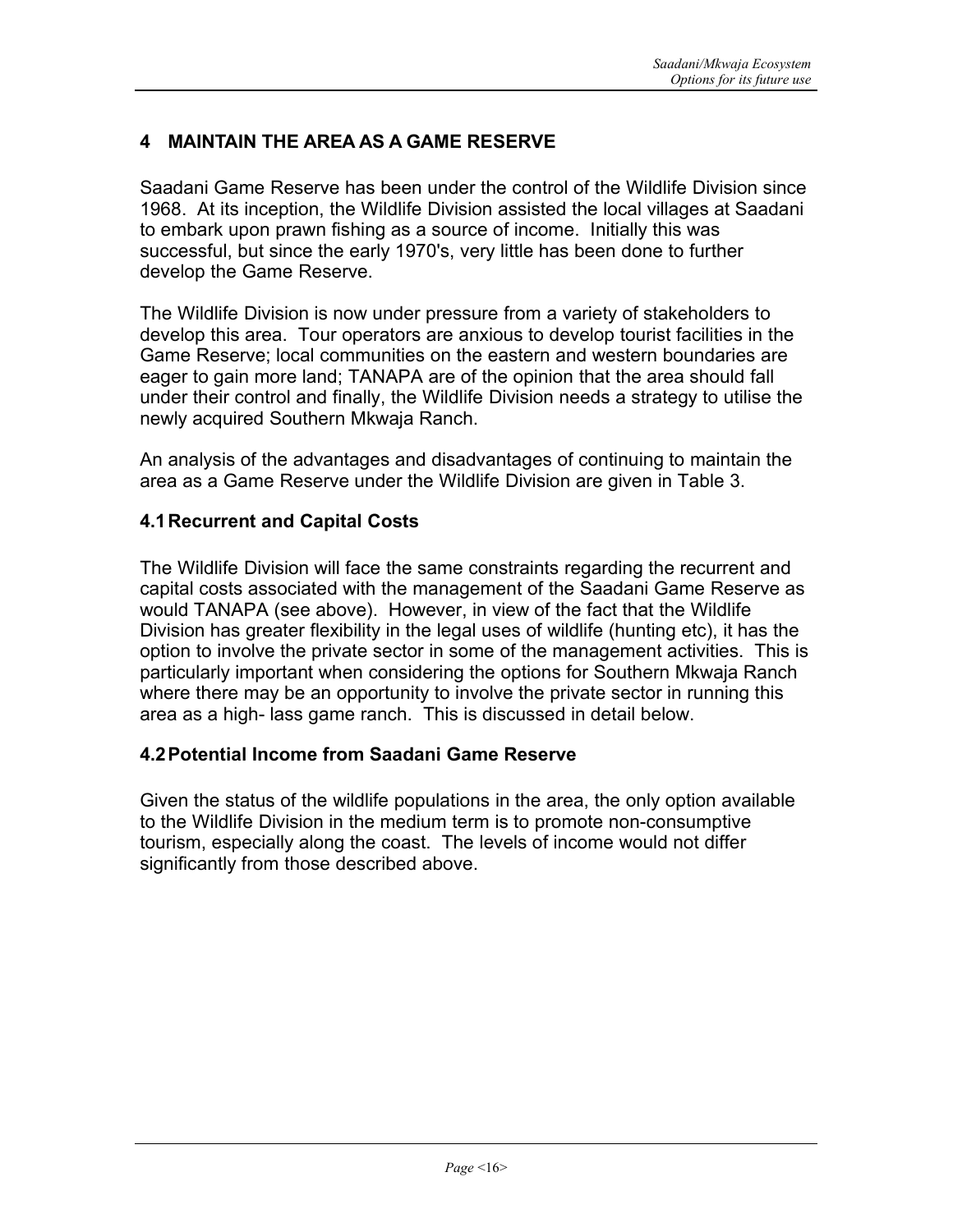## **4 MAINTAIN THE AREA AS A GAME RESERVE**

Saadani Game Reserve has been under the control of the Wildlife Division since 1968. At its inception, the Wildlife Division assisted the local villages at Saadani to embark upon prawn fishing as a source of income. Initially this was successful, but since the early 1970's, very little has been done to further develop the Game Reserve.

The Wildlife Division is now under pressure from a variety of stakeholders to develop this area. Tour operators are anxious to develop tourist facilities in the Game Reserve; local communities on the eastern and western boundaries are eager to gain more land; TANAPA are of the opinion that the area should fall under their control and finally, the Wildlife Division needs a strategy to utilise the newly acquired Southern Mkwaja Ranch.

An analysis of the advantages and disadvantages of continuing to maintain the area as a Game Reserve under the Wildlife Division are given in Table 3.

#### **4.1Recurrent and Capital Costs**

The Wildlife Division will face the same constraints regarding the recurrent and capital costs associated with the management of the Saadani Game Reserve as would TANAPA (see above). However, in view of the fact that the Wildlife Division has greater flexibility in the legal uses of wildlife (hunting etc), it has the option to involve the private sector in some of the management activities. This is particularly important when considering the options for Southern Mkwaja Ranch where there may be an opportunity to involve the private sector in running this area as a high- lass game ranch. This is discussed in detail below.

#### **4.2Potential Income from Saadani Game Reserve**

Given the status of the wildlife populations in the area, the only option available to the Wildlife Division in the medium term is to promote non-consumptive tourism, especially along the coast. The levels of income would not differ significantly from those described above.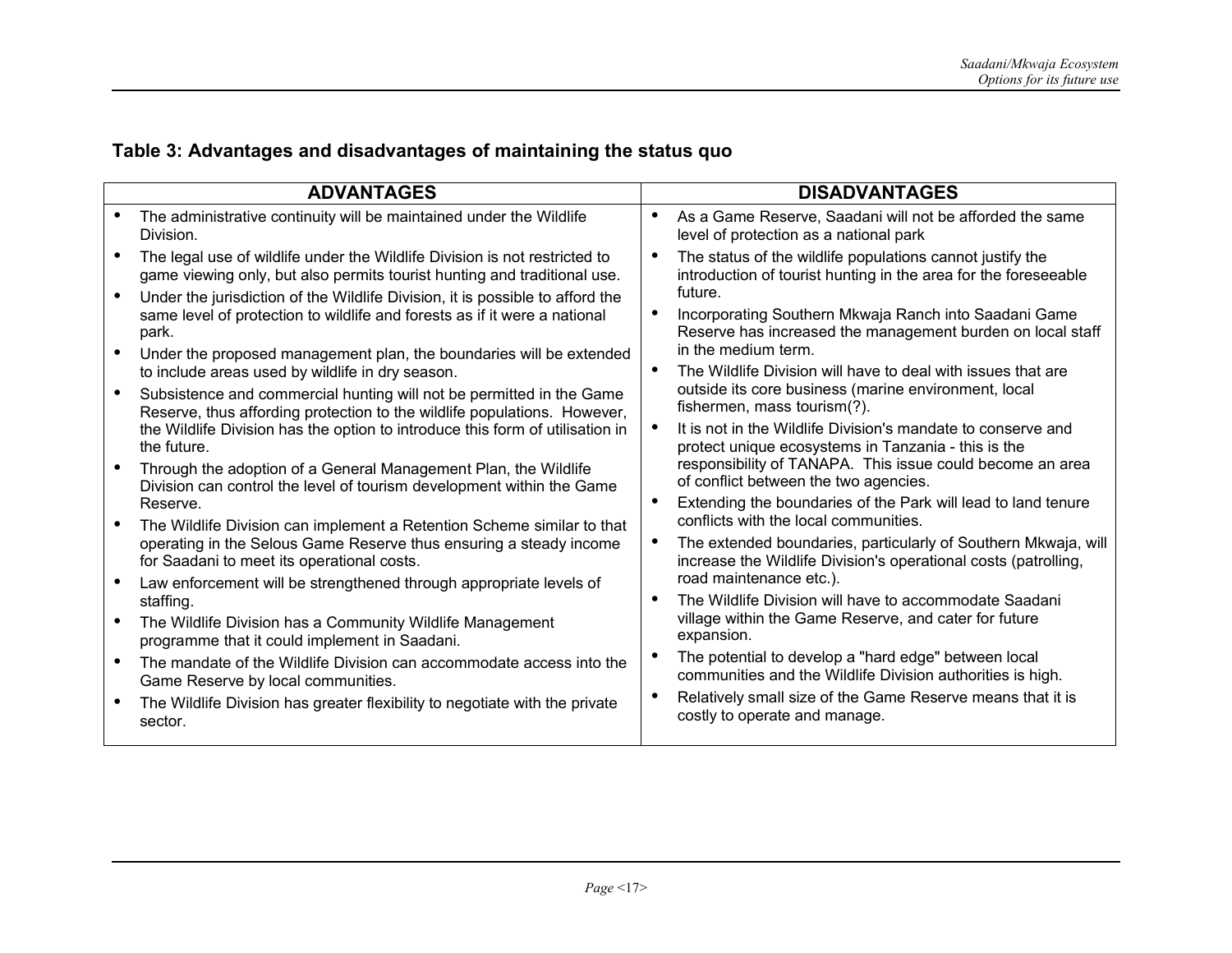# **Table 3: Advantages and disadvantages of maintaining the status quo**

|                                                  | <b>ADVANTAGES</b>                                                                                                                                                                                                                       | <b>DISADVANTAGES</b>                                                                                                                                                                                                      |
|--------------------------------------------------|-----------------------------------------------------------------------------------------------------------------------------------------------------------------------------------------------------------------------------------------|---------------------------------------------------------------------------------------------------------------------------------------------------------------------------------------------------------------------------|
| Division.                                        | The administrative continuity will be maintained under the Wildlife                                                                                                                                                                     | As a Game Reserve, Saadani will not be afforded the same<br>$\bullet$<br>level of protection as a national park                                                                                                           |
|                                                  | The legal use of wildlife under the Wildlife Division is not restricted to<br>game viewing only, but also permits tourist hunting and traditional use.<br>Under the jurisdiction of the Wildlife Division, it is possible to afford the | The status of the wildlife populations cannot justify the<br>$\bullet$<br>introduction of tourist hunting in the area for the foreseeable<br>future.                                                                      |
| park.                                            | same level of protection to wildlife and forests as if it were a national<br>Under the proposed management plan, the boundaries will be extended                                                                                        | Incorporating Southern Mkwaja Ranch into Saadani Game<br>Reserve has increased the management burden on local staff<br>in the medium term.                                                                                |
| to include areas used by wildlife in dry season. | Subsistence and commercial hunting will not be permitted in the Game<br>Reserve, thus affording protection to the wildlife populations. However,                                                                                        | The Wildlife Division will have to deal with issues that are<br>$\bullet$<br>outside its core business (marine environment, local<br>fishermen, mass tourism(?).                                                          |
| the future.                                      | the Wildlife Division has the option to introduce this form of utilisation in<br>Through the adoption of a General Management Plan, the Wildlife                                                                                        | It is not in the Wildlife Division's mandate to conserve and<br>protect unique ecosystems in Tanzania - this is the<br>responsibility of TANAPA. This issue could become an area<br>of conflict between the two agencies. |
| Reserve.                                         | Division can control the level of tourism development within the Game<br>The Wildlife Division can implement a Retention Scheme similar to that                                                                                         | Extending the boundaries of the Park will lead to land tenure<br>$\bullet$<br>conflicts with the local communities.                                                                                                       |
| for Saadani to meet its operational costs.       | operating in the Selous Game Reserve thus ensuring a steady income                                                                                                                                                                      | The extended boundaries, particularly of Southern Mkwaja, will<br>$\bullet$<br>increase the Wildlife Division's operational costs (patrolling,                                                                            |
| staffing.                                        | Law enforcement will be strengthened through appropriate levels of                                                                                                                                                                      | road maintenance etc.).<br>The Wildlife Division will have to accommodate Saadani<br>$\bullet$                                                                                                                            |
| programme that it could implement in Saadani.    | The Wildlife Division has a Community Wildlife Management                                                                                                                                                                               | village within the Game Reserve, and cater for future<br>expansion.                                                                                                                                                       |
| Game Reserve by local communities.               | The mandate of the Wildlife Division can accommodate access into the                                                                                                                                                                    | The potential to develop a "hard edge" between local<br>communities and the Wildlife Division authorities is high.                                                                                                        |
| sector.                                          | The Wildlife Division has greater flexibility to negotiate with the private                                                                                                                                                             | Relatively small size of the Game Reserve means that it is<br>$\bullet$<br>costly to operate and manage.                                                                                                                  |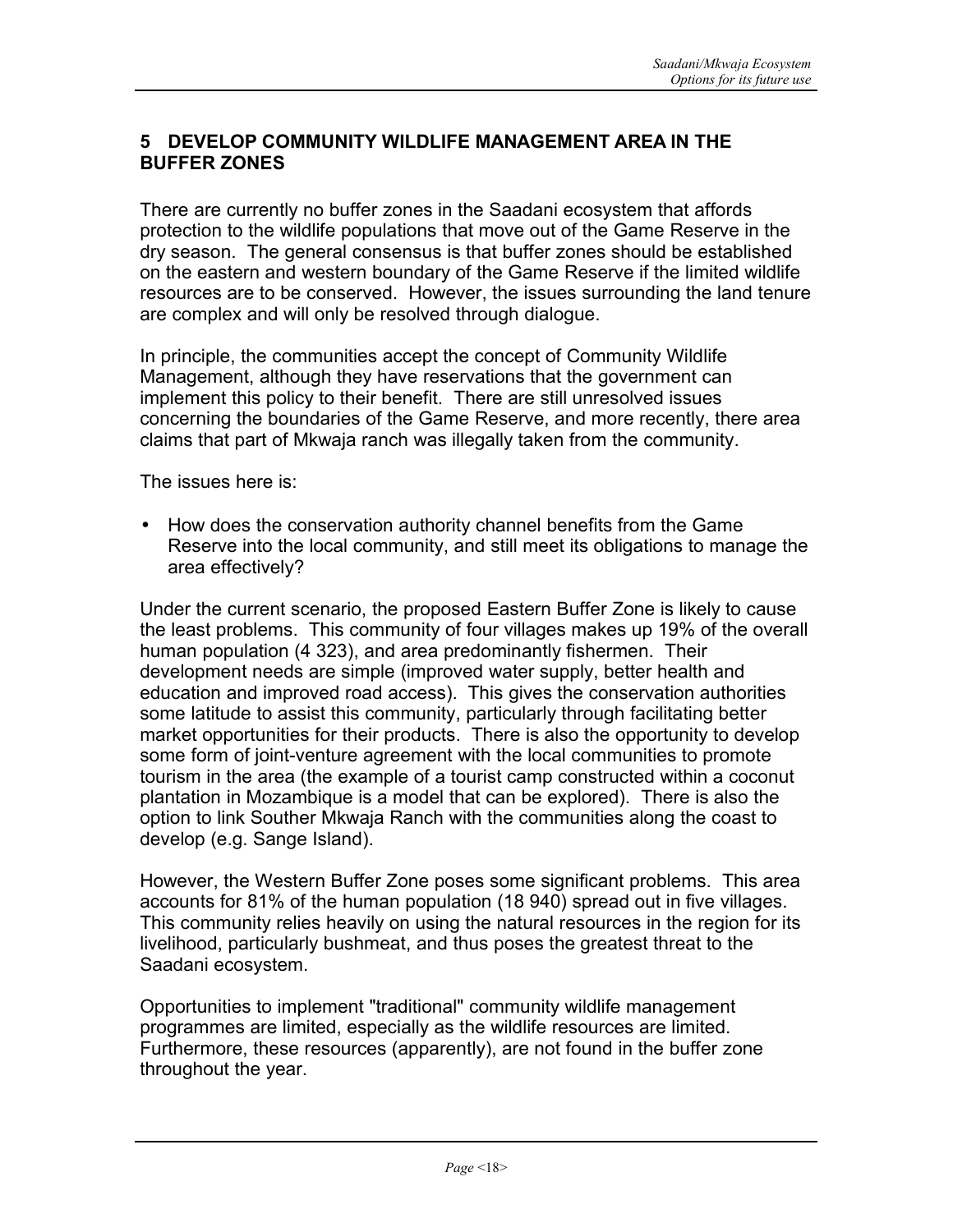#### **5 DEVELOP COMMUNITY WILDLIFE MANAGEMENT AREA IN THE BUFFER ZONES**

There are currently no buffer zones in the Saadani ecosystem that affords protection to the wildlife populations that move out of the Game Reserve in the dry season. The general consensus is that buffer zones should be established on the eastern and western boundary of the Game Reserve if the limited wildlife resources are to be conserved. However, the issues surrounding the land tenure are complex and will only be resolved through dialogue.

In principle, the communities accept the concept of Community Wildlife Management, although they have reservations that the government can implement this policy to their benefit. There are still unresolved issues concerning the boundaries of the Game Reserve, and more recently, there area claims that part of Mkwaja ranch was illegally taken from the community.

The issues here is:

• How does the conservation authority channel benefits from the Game Reserve into the local community, and still meet its obligations to manage the area effectively?

Under the current scenario, the proposed Eastern Buffer Zone is likely to cause the least problems. This community of four villages makes up 19% of the overall human population (4 323), and area predominantly fishermen. Their development needs are simple (improved water supply, better health and education and improved road access). This gives the conservation authorities some latitude to assist this community, particularly through facilitating better market opportunities for their products. There is also the opportunity to develop some form of joint-venture agreement with the local communities to promote tourism in the area (the example of a tourist camp constructed within a coconut plantation in Mozambique is a model that can be explored). There is also the option to link Souther Mkwaja Ranch with the communities along the coast to develop (e.g. Sange Island).

However, the Western Buffer Zone poses some significant problems. This area accounts for 81% of the human population (18 940) spread out in five villages. This community relies heavily on using the natural resources in the region for its livelihood, particularly bushmeat, and thus poses the greatest threat to the Saadani ecosystem.

Opportunities to implement "traditional" community wildlife management programmes are limited, especially as the wildlife resources are limited. Furthermore, these resources (apparently), are not found in the buffer zone throughout the year.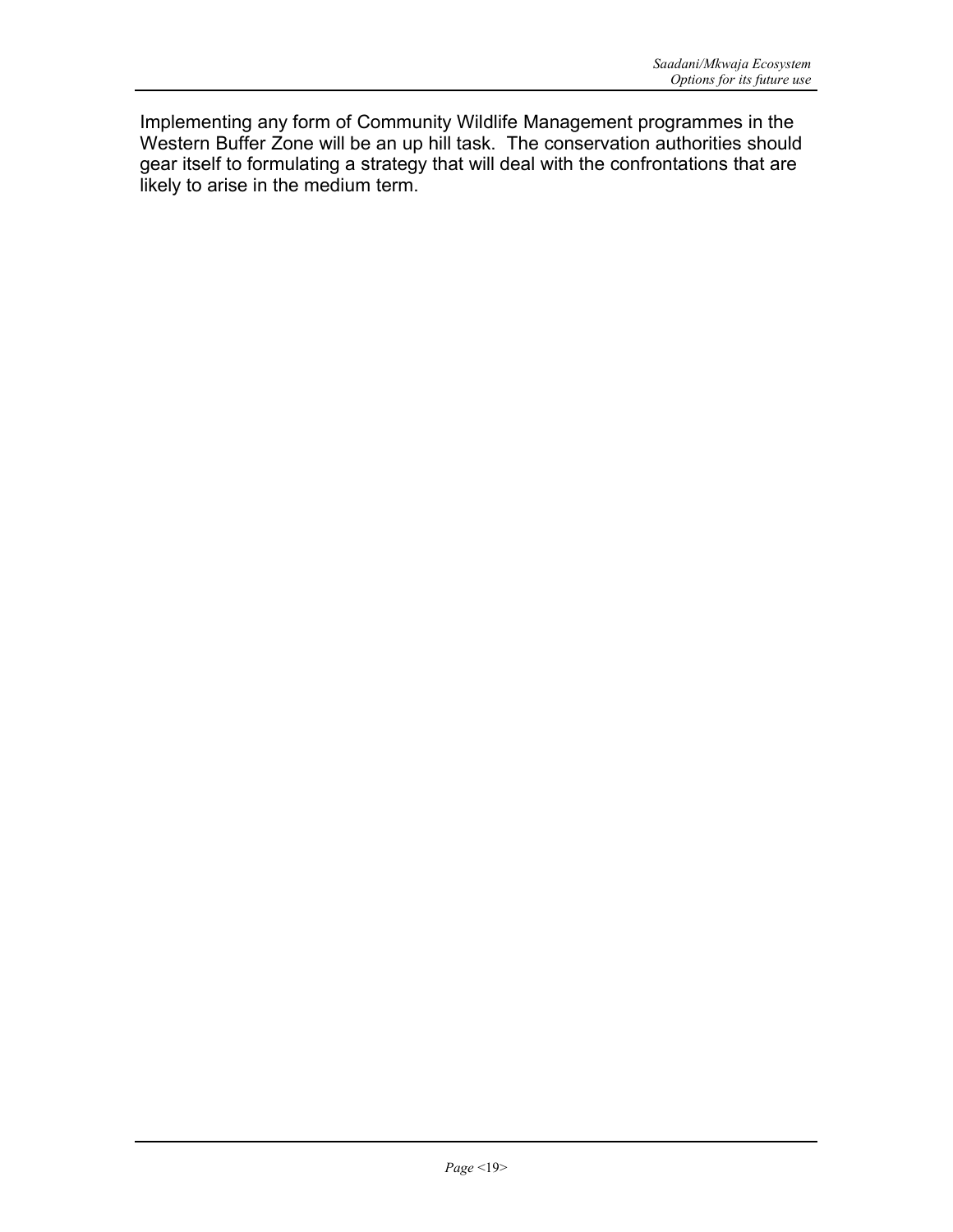Implementing any form of Community Wildlife Management programmes in the Western Buffer Zone will be an up hill task. The conservation authorities should gear itself to formulating a strategy that will deal with the confrontations that are likely to arise in the medium term.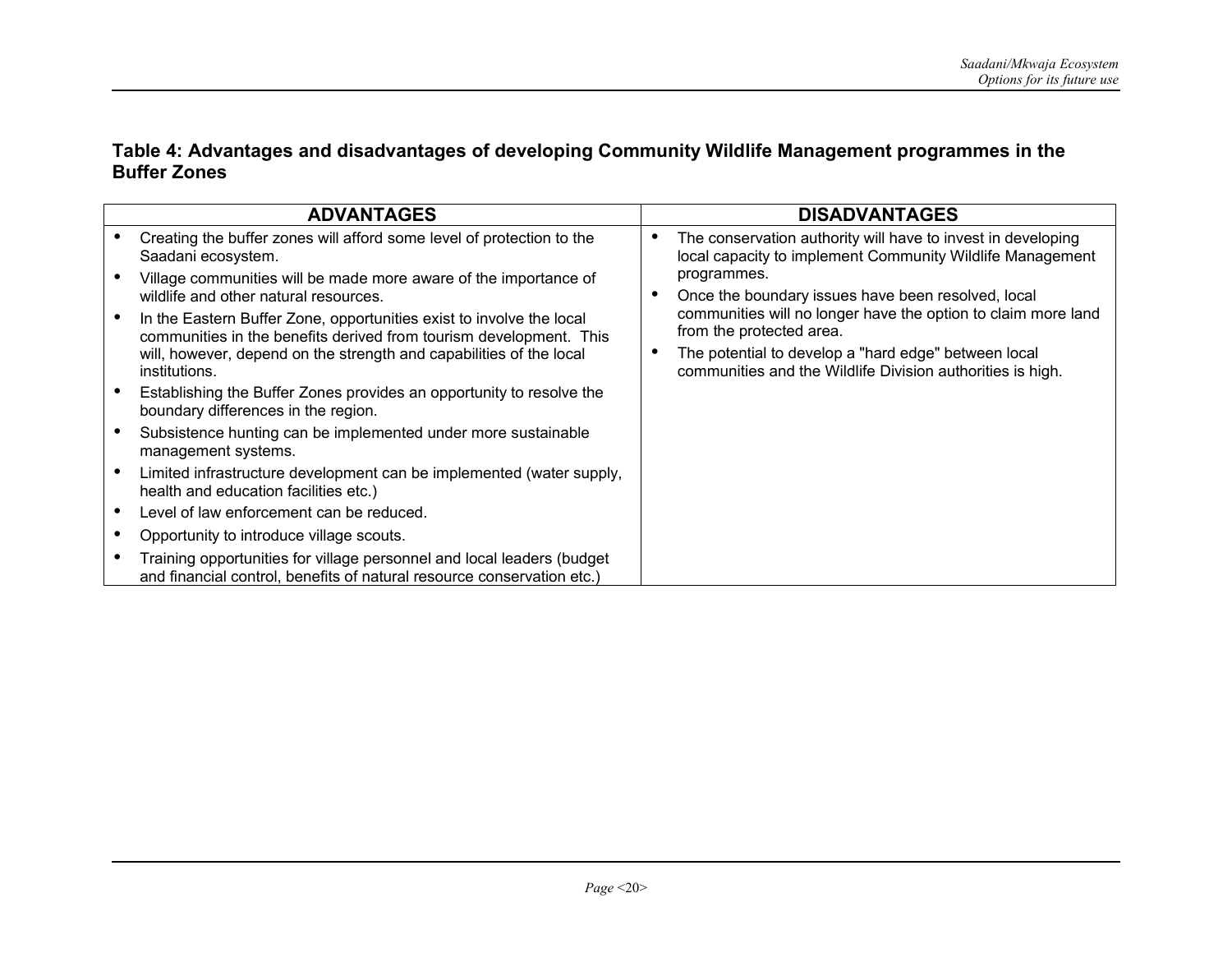#### **Table 4: Advantages and disadvantages of developing Community Wildlife Management programmes in the Buffer Zones**

| <b>ADVANTAGES</b>                                                                                                                                | <b>DISADVANTAGES</b>                                                                                                                   |
|--------------------------------------------------------------------------------------------------------------------------------------------------|----------------------------------------------------------------------------------------------------------------------------------------|
| Creating the buffer zones will afford some level of protection to the<br>Saadani ecosystem.                                                      | The conservation authority will have to invest in developing<br>$\bullet$<br>local capacity to implement Community Wildlife Management |
| Village communities will be made more aware of the importance of<br>wildlife and other natural resources.                                        | programmes.<br>Once the boundary issues have been resolved, local                                                                      |
| In the Eastern Buffer Zone, opportunities exist to involve the local<br>communities in the benefits derived from tourism development. This       | communities will no longer have the option to claim more land<br>from the protected area.                                              |
| will, however, depend on the strength and capabilities of the local<br>institutions.                                                             | The potential to develop a "hard edge" between local<br>$\bullet$<br>communities and the Wildlife Division authorities is high.        |
| Establishing the Buffer Zones provides an opportunity to resolve the<br>boundary differences in the region.                                      |                                                                                                                                        |
| Subsistence hunting can be implemented under more sustainable<br>management systems.                                                             |                                                                                                                                        |
| Limited infrastructure development can be implemented (water supply,<br>health and education facilities etc.)                                    |                                                                                                                                        |
| Level of law enforcement can be reduced.                                                                                                         |                                                                                                                                        |
| Opportunity to introduce village scouts.                                                                                                         |                                                                                                                                        |
| Training opportunities for village personnel and local leaders (budget<br>and financial control, benefits of natural resource conservation etc.) |                                                                                                                                        |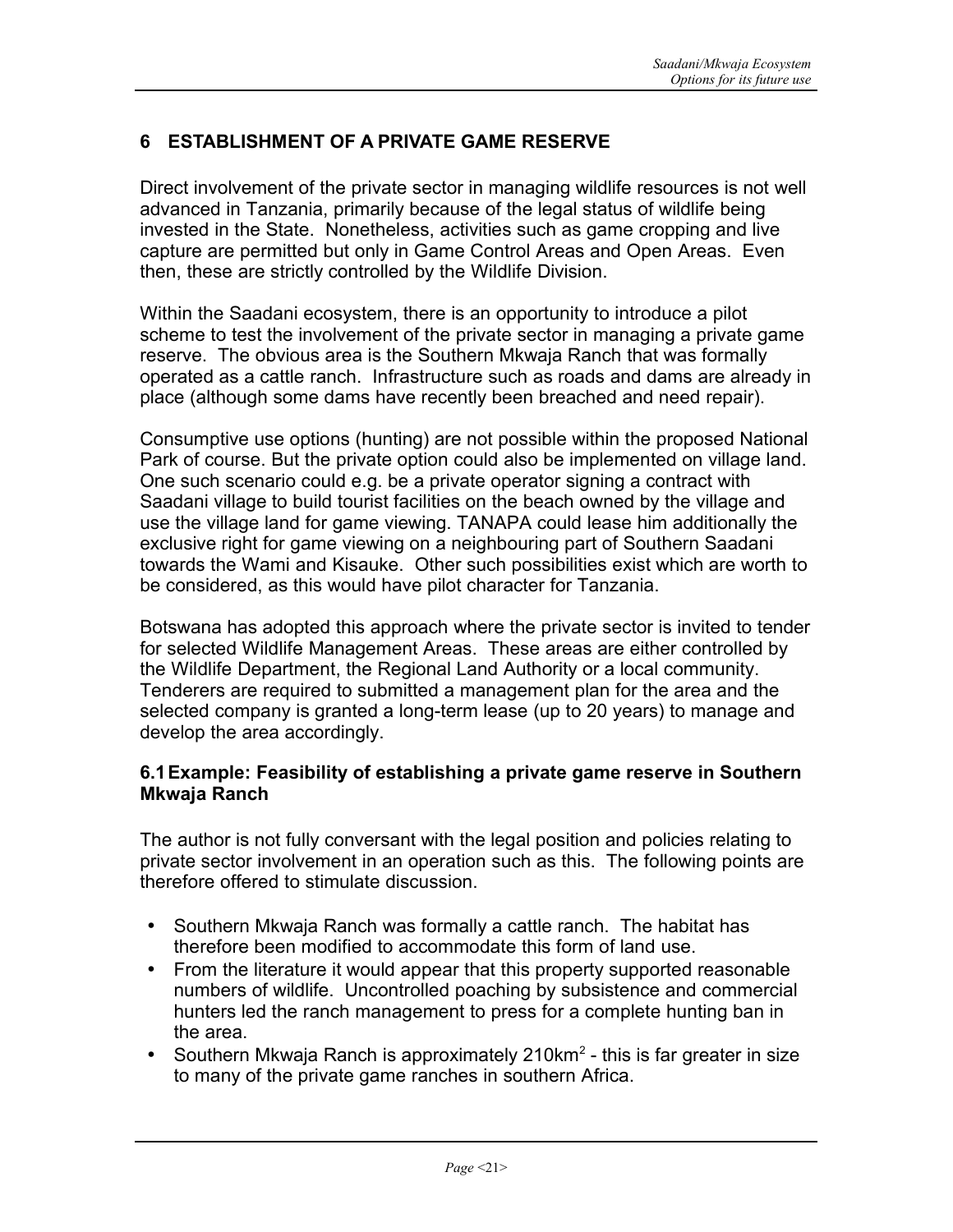# **6 ESTABLISHMENT OF A PRIVATE GAME RESERVE**

Direct involvement of the private sector in managing wildlife resources is not well advanced in Tanzania, primarily because of the legal status of wildlife being invested in the State. Nonetheless, activities such as game cropping and live capture are permitted but only in Game Control Areas and Open Areas. Even then, these are strictly controlled by the Wildlife Division.

Within the Saadani ecosystem, there is an opportunity to introduce a pilot scheme to test the involvement of the private sector in managing a private game reserve. The obvious area is the Southern Mkwaja Ranch that was formally operated as a cattle ranch. Infrastructure such as roads and dams are already in place (although some dams have recently been breached and need repair).

Consumptive use options (hunting) are not possible within the proposed National Park of course. But the private option could also be implemented on village land. One such scenario could e.g. be a private operator signing a contract with Saadani village to build tourist facilities on the beach owned by the village and use the village land for game viewing. TANAPA could lease him additionally the exclusive right for game viewing on a neighbouring part of Southern Saadani towards the Wami and Kisauke. Other such possibilities exist which are worth to be considered, as this would have pilot character for Tanzania.

Botswana has adopted this approach where the private sector is invited to tender for selected Wildlife Management Areas. These areas are either controlled by the Wildlife Department, the Regional Land Authority or a local community. Tenderers are required to submitted a management plan for the area and the selected company is granted a long-term lease (up to 20 years) to manage and develop the area accordingly.

#### **6.1Example: Feasibility of establishing a private game reserve in Southern Mkwaja Ranch**

The author is not fully conversant with the legal position and policies relating to private sector involvement in an operation such as this. The following points are therefore offered to stimulate discussion.

- Southern Mkwaja Ranch was formally a cattle ranch. The habitat has therefore been modified to accommodate this form of land use.
- From the literature it would appear that this property supported reasonable numbers of wildlife. Uncontrolled poaching by subsistence and commercial hunters led the ranch management to press for a complete hunting ban in the area.
- Southern Mkwaja Ranch is approximately 210 km<sup>2</sup> this is far greater in size to many of the private game ranches in southern Africa.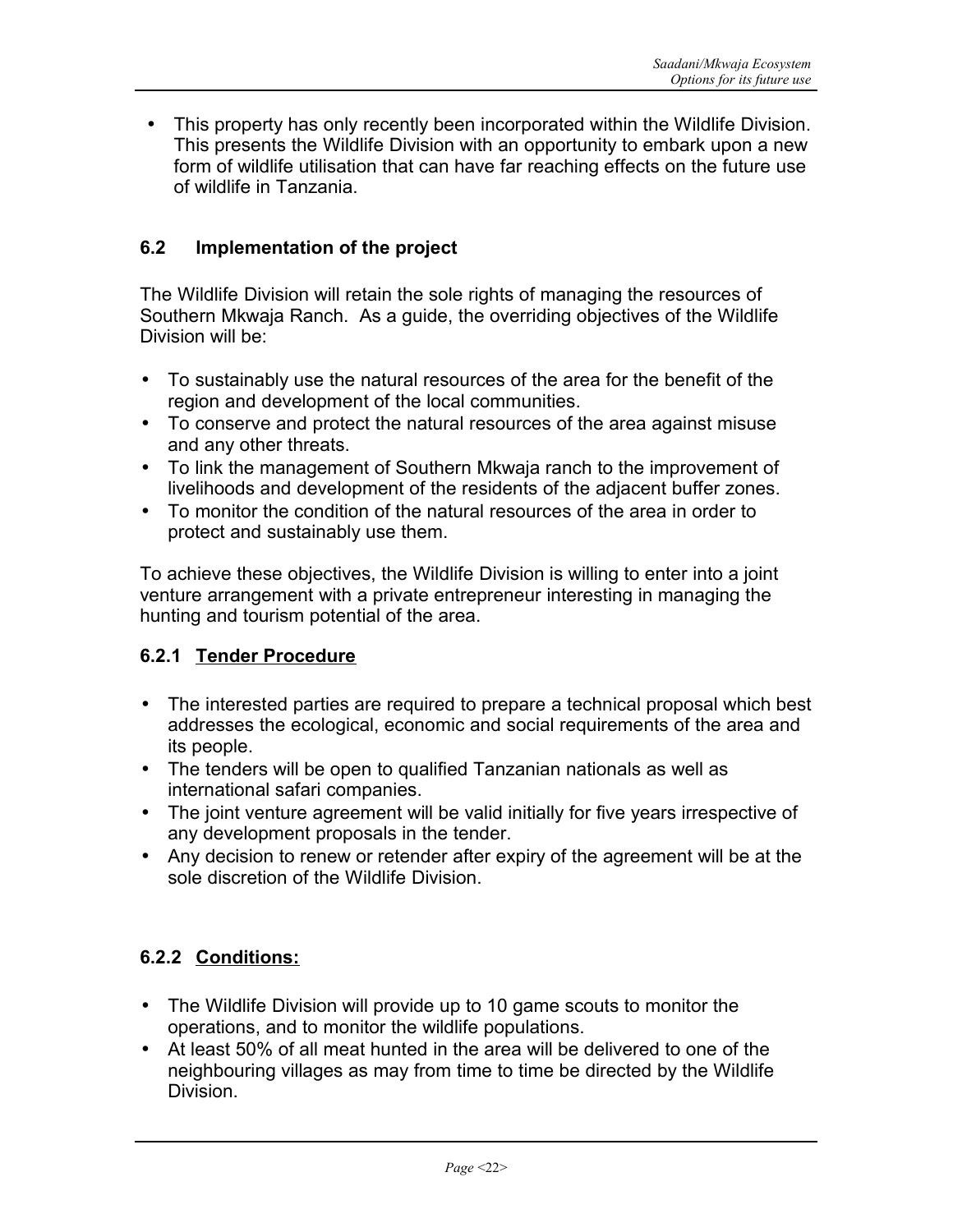• This property has only recently been incorporated within the Wildlife Division. This presents the Wildlife Division with an opportunity to embark upon a new form of wildlife utilisation that can have far reaching effects on the future use of wildlife in Tanzania.

## **6.2 Implementation of the project**

The Wildlife Division will retain the sole rights of managing the resources of Southern Mkwaja Ranch. As a guide, the overriding objectives of the Wildlife Division will be:

- To sustainably use the natural resources of the area for the benefit of the region and development of the local communities.
- To conserve and protect the natural resources of the area against misuse and any other threats.
- To link the management of Southern Mkwaja ranch to the improvement of livelihoods and development of the residents of the adjacent buffer zones.
- To monitor the condition of the natural resources of the area in order to protect and sustainably use them.

To achieve these objectives, the Wildlife Division is willing to enter into a joint venture arrangement with a private entrepreneur interesting in managing the hunting and tourism potential of the area.

## **6.2.1 Tender Procedure**

- The interested parties are required to prepare a technical proposal which best addresses the ecological, economic and social requirements of the area and its people.
- The tenders will be open to qualified Tanzanian nationals as well as international safari companies.
- The joint venture agreement will be valid initially for five years irrespective of any development proposals in the tender.
- Any decision to renew or retender after expiry of the agreement will be at the sole discretion of the Wildlife Division.

## **6.2.2 Conditions:**

- The Wildlife Division will provide up to 10 game scouts to monitor the operations, and to monitor the wildlife populations.
- At least 50% of all meat hunted in the area will be delivered to one of the neighbouring villages as may from time to time be directed by the Wildlife Division.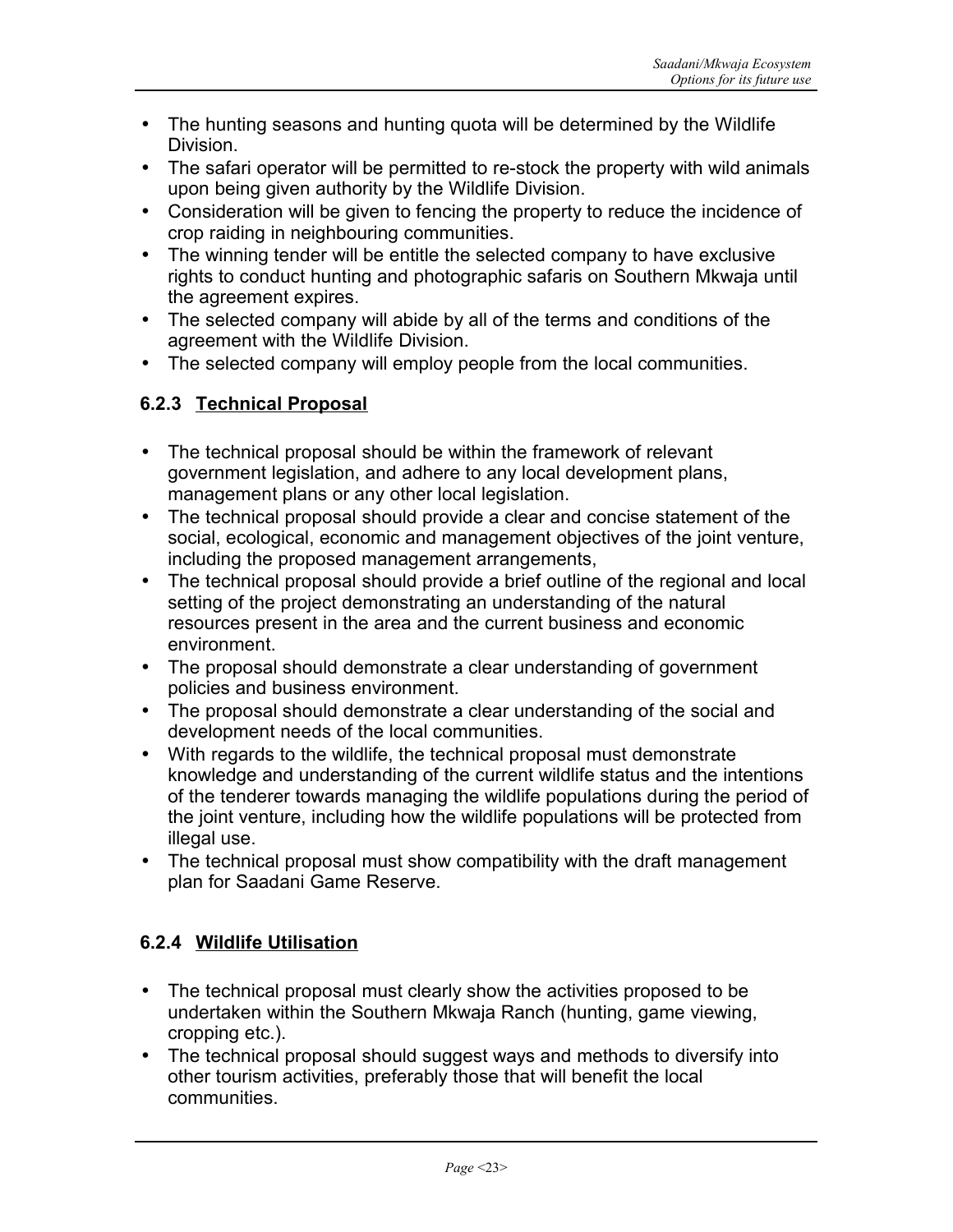- The hunting seasons and hunting quota will be determined by the Wildlife Division.
- The safari operator will be permitted to re-stock the property with wild animals upon being given authority by the Wildlife Division.
- Consideration will be given to fencing the property to reduce the incidence of crop raiding in neighbouring communities.
- The winning tender will be entitle the selected company to have exclusive rights to conduct hunting and photographic safaris on Southern Mkwaja until the agreement expires.
- The selected company will abide by all of the terms and conditions of the agreement with the Wildlife Division.
- The selected company will employ people from the local communities.

# **6.2.3 Technical Proposal**

- The technical proposal should be within the framework of relevant government legislation, and adhere to any local development plans, management plans or any other local legislation.
- The technical proposal should provide a clear and concise statement of the social, ecological, economic and management objectives of the joint venture, including the proposed management arrangements,
- The technical proposal should provide a brief outline of the regional and local setting of the project demonstrating an understanding of the natural resources present in the area and the current business and economic environment.
- The proposal should demonstrate a clear understanding of government policies and business environment.
- The proposal should demonstrate a clear understanding of the social and development needs of the local communities.
- With regards to the wildlife, the technical proposal must demonstrate knowledge and understanding of the current wildlife status and the intentions of the tenderer towards managing the wildlife populations during the period of the joint venture, including how the wildlife populations will be protected from illegal use.
- The technical proposal must show compatibility with the draft management plan for Saadani Game Reserve.

## **6.2.4 Wildlife Utilisation**

- The technical proposal must clearly show the activities proposed to be undertaken within the Southern Mkwaja Ranch (hunting, game viewing, cropping etc.).
- The technical proposal should suggest ways and methods to diversify into other tourism activities, preferably those that will benefit the local communities.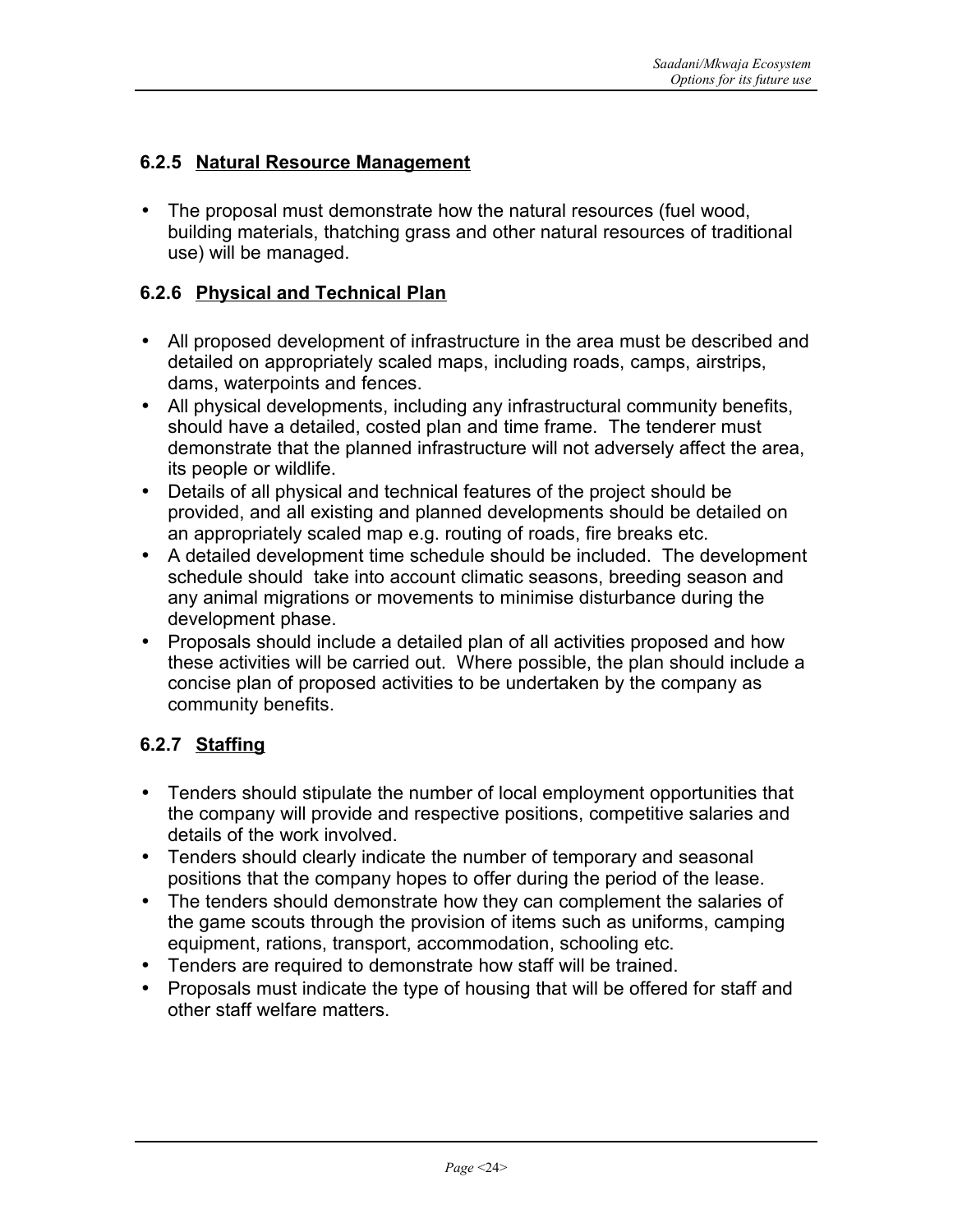## **6.2.5 Natural Resource Management**

• The proposal must demonstrate how the natural resources (fuel wood, building materials, thatching grass and other natural resources of traditional use) will be managed.

## **6.2.6 Physical and Technical Plan**

- All proposed development of infrastructure in the area must be described and detailed on appropriately scaled maps, including roads, camps, airstrips, dams, waterpoints and fences.
- All physical developments, including any infrastructural community benefits, should have a detailed, costed plan and time frame. The tenderer must demonstrate that the planned infrastructure will not adversely affect the area, its people or wildlife.
- Details of all physical and technical features of the project should be provided, and all existing and planned developments should be detailed on an appropriately scaled map e.g. routing of roads, fire breaks etc.
- A detailed development time schedule should be included. The development schedule should take into account climatic seasons, breeding season and any animal migrations or movements to minimise disturbance during the development phase.
- Proposals should include a detailed plan of all activities proposed and how these activities will be carried out. Where possible, the plan should include a concise plan of proposed activities to be undertaken by the company as community benefits.

# **6.2.7 Staffing**

- Tenders should stipulate the number of local employment opportunities that the company will provide and respective positions, competitive salaries and details of the work involved.
- Tenders should clearly indicate the number of temporary and seasonal positions that the company hopes to offer during the period of the lease.
- The tenders should demonstrate how they can complement the salaries of the game scouts through the provision of items such as uniforms, camping equipment, rations, transport, accommodation, schooling etc.
- Tenders are required to demonstrate how staff will be trained.
- Proposals must indicate the type of housing that will be offered for staff and other staff welfare matters.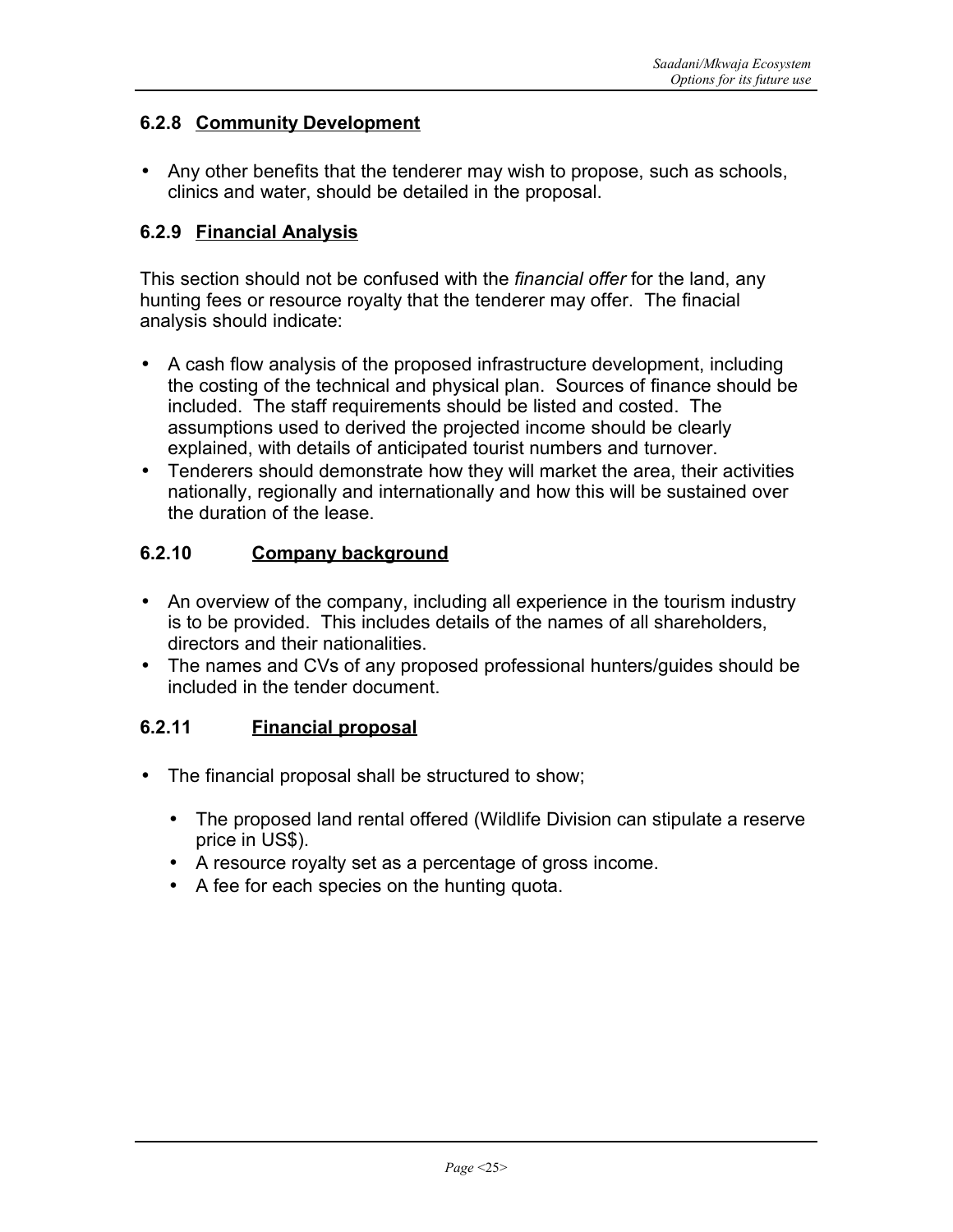## **6.2.8 Community Development**

• Any other benefits that the tenderer may wish to propose, such as schools, clinics and water, should be detailed in the proposal.

## **6.2.9 Financial Analysis**

This section should not be confused with the *financial offer* for the land, any hunting fees or resource royalty that the tenderer may offer. The finacial analysis should indicate:

- A cash flow analysis of the proposed infrastructure development, including the costing of the technical and physical plan. Sources of finance should be included. The staff requirements should be listed and costed. The assumptions used to derived the projected income should be clearly explained, with details of anticipated tourist numbers and turnover.
- Tenderers should demonstrate how they will market the area, their activities nationally, regionally and internationally and how this will be sustained over the duration of the lease.

# **6.2.10 Company background**

- An overview of the company, including all experience in the tourism industry is to be provided. This includes details of the names of all shareholders, directors and their nationalities.
- The names and CVs of any proposed professional hunters/guides should be included in the tender document.

## **6.2.11 Financial proposal**

- The financial proposal shall be structured to show;
	- The proposed land rental offered (Wildlife Division can stipulate a reserve price in US\$).
	- A resource royalty set as a percentage of gross income.
	- A fee for each species on the hunting quota.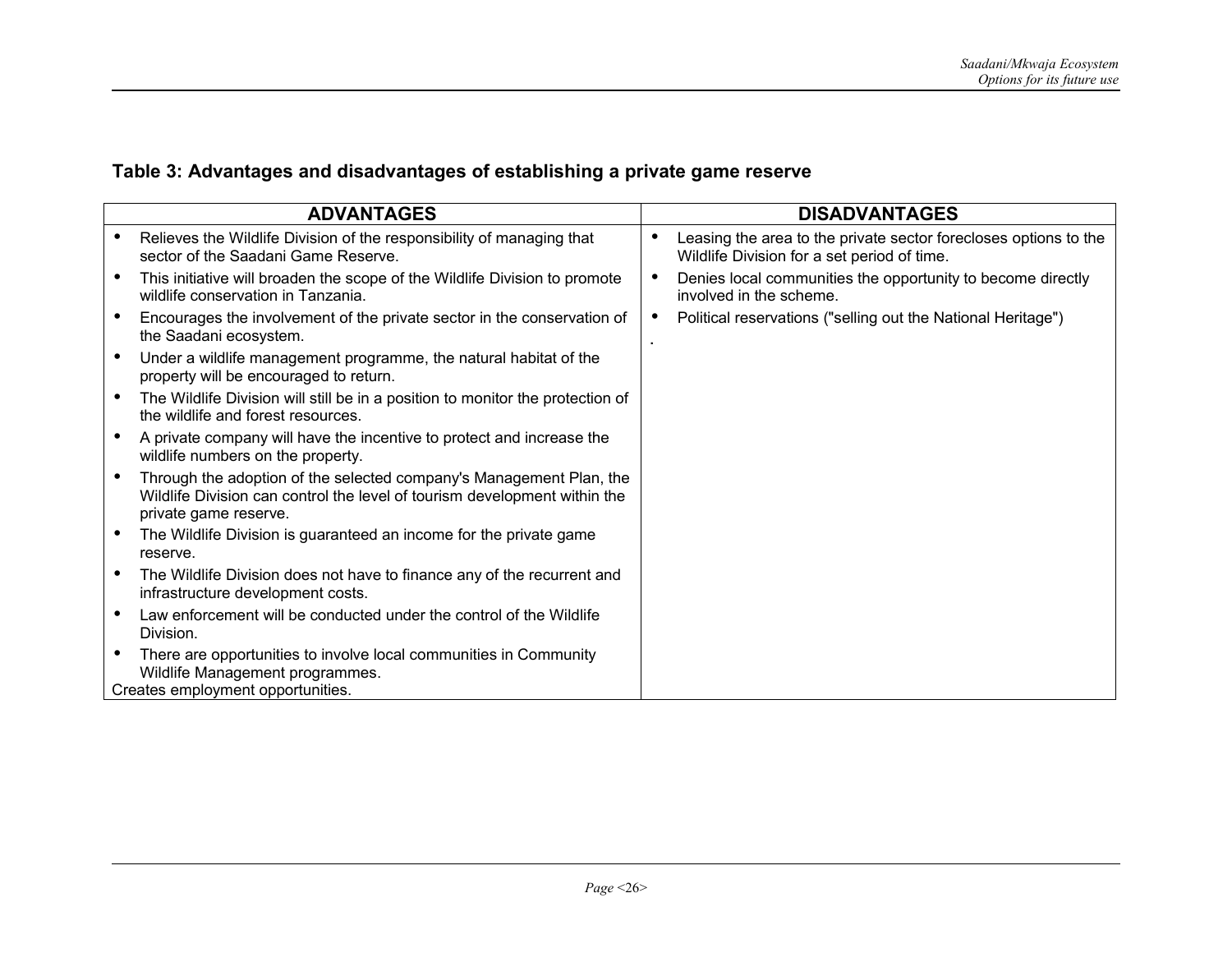# **Table 3: Advantages and disadvantages of establishing a private game reserve**

| <b>ADVANTAGES</b>                                                                                                                                                         | <b>DISADVANTAGES</b>                                                                                                         |
|---------------------------------------------------------------------------------------------------------------------------------------------------------------------------|------------------------------------------------------------------------------------------------------------------------------|
| Relieves the Wildlife Division of the responsibility of managing that<br>sector of the Saadani Game Reserve.                                                              | Leasing the area to the private sector forecloses options to the<br>$\bullet$<br>Wildlife Division for a set period of time. |
| This initiative will broaden the scope of the Wildlife Division to promote<br>wildlife conservation in Tanzania.                                                          | Denies local communities the opportunity to become directly<br>$\bullet$<br>involved in the scheme.                          |
| Encourages the involvement of the private sector in the conservation of<br>the Saadani ecosystem.                                                                         | Political reservations ("selling out the National Heritage")<br>$\bullet$                                                    |
| Under a wildlife management programme, the natural habitat of the<br>property will be encouraged to return.                                                               |                                                                                                                              |
| The Wildlife Division will still be in a position to monitor the protection of<br>the wildlife and forest resources.                                                      |                                                                                                                              |
| A private company will have the incentive to protect and increase the<br>wildlife numbers on the property.                                                                |                                                                                                                              |
| Through the adoption of the selected company's Management Plan, the<br>Wildlife Division can control the level of tourism development within the<br>private game reserve. |                                                                                                                              |
| The Wildlife Division is guaranteed an income for the private game<br>reserve.                                                                                            |                                                                                                                              |
| The Wildlife Division does not have to finance any of the recurrent and<br>infrastructure development costs.                                                              |                                                                                                                              |
| Law enforcement will be conducted under the control of the Wildlife<br>Division.                                                                                          |                                                                                                                              |
| There are opportunities to involve local communities in Community<br>Wildlife Management programmes.<br>Creates employment opportunities.                                 |                                                                                                                              |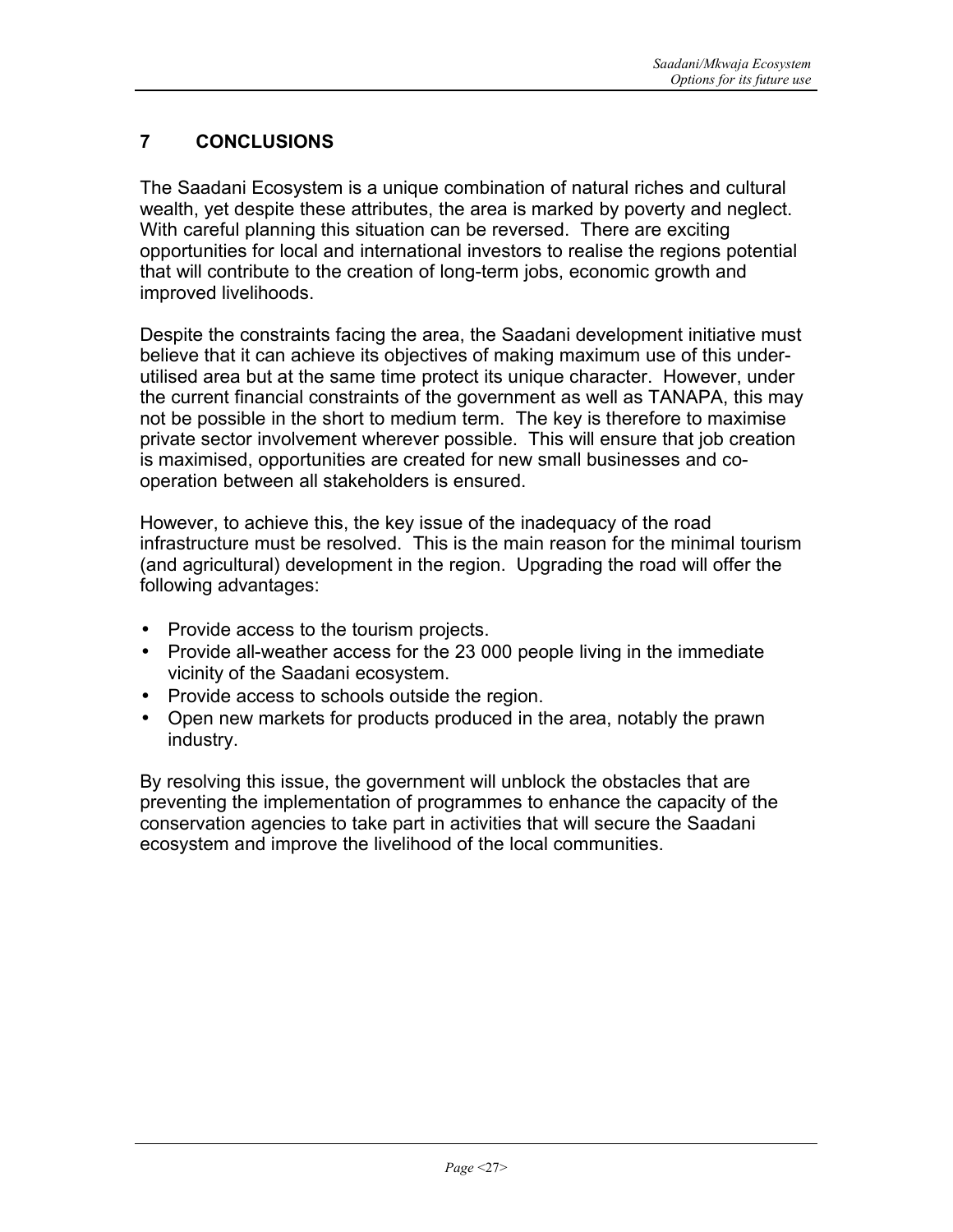# **7 CONCLUSIONS**

The Saadani Ecosystem is a unique combination of natural riches and cultural wealth, yet despite these attributes, the area is marked by poverty and neglect. With careful planning this situation can be reversed. There are exciting opportunities for local and international investors to realise the regions potential that will contribute to the creation of long-term jobs, economic growth and improved livelihoods.

Despite the constraints facing the area, the Saadani development initiative must believe that it can achieve its objectives of making maximum use of this underutilised area but at the same time protect its unique character. However, under the current financial constraints of the government as well as TANAPA, this may not be possible in the short to medium term. The key is therefore to maximise private sector involvement wherever possible. This will ensure that job creation is maximised, opportunities are created for new small businesses and cooperation between all stakeholders is ensured.

However, to achieve this, the key issue of the inadequacy of the road infrastructure must be resolved. This is the main reason for the minimal tourism (and agricultural) development in the region. Upgrading the road will offer the following advantages:

- Provide access to the tourism projects.
- Provide all-weather access for the 23 000 people living in the immediate vicinity of the Saadani ecosystem.
- Provide access to schools outside the region.
- Open new markets for products produced in the area, notably the prawn industry.

By resolving this issue, the government will unblock the obstacles that are preventing the implementation of programmes to enhance the capacity of the conservation agencies to take part in activities that will secure the Saadani ecosystem and improve the livelihood of the local communities.